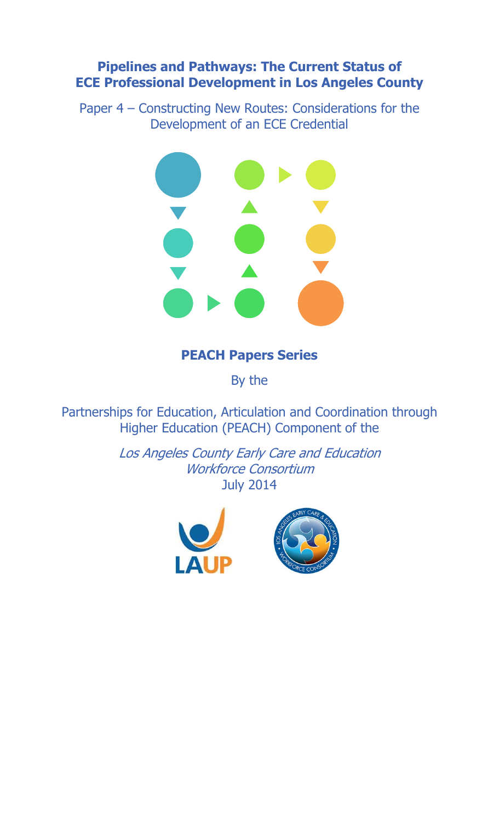# **Pipelines and Pathways: The Current Status of ECE Professional Development in Los Angeles County**

Paper 4 – Constructing New Routes: Considerations for the Development of an ECE Credential



# **PEACH Papers Series**

By the

Partnerships for Education, Articulation and Coordination through Higher Education (PEACH) Component of the

> Los Angeles County Early Care and Education Workforce Consortium July 2014

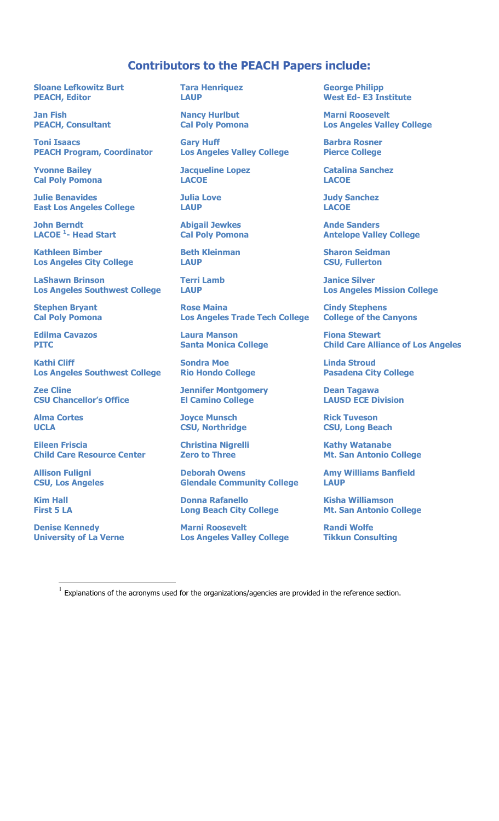# **Contributors to the PEACH Papers include:**

**Sloane Lefkowitz Burt PEACH, Editor** 

**Jan Fish PEACH, Consultant** 

**Toni Isaacs PEACH Program, Coordinator** 

**Yvonne Bailey Cal Poly Pomona** 

**Julie Benavides East Los Angeles College** 

**John Berndt LACOE 1 - Head Start** 

**Kathleen Bimber Los Angeles City College** 

**LaShawn Brinson Los Angeles Southwest College** 

**Stephen Bryant Cal Poly Pomona** 

**Edilma Cavazos PITC** 

**Kathi Cliff Los Angeles Southwest College** 

**Zee Cline CSU Chancellor's Office** 

**Alma Cortes UCLA** 

**Eileen Friscia Child Care Resource Center** 

**Allison Fuligni CSU, Los Angeles** 

**Kim Hall First 5 LA** 

 $\overline{a}$ 

**Denise Kennedy University of La Verne**  **Tara Henriquez LAUP** 

**Nancy Hurlbut Cal Poly Pomona** 

**Gary Huff Los Angeles Valley College** 

**Jacqueline Lopez LACOE** 

**Julia Love LAUP** 

**Abigail Jewkes Cal Poly Pomona** 

**Beth Kleinman LAUP** 

**Terri Lamb LAUP** 

**Rose Maina Los Angeles Trade Tech College** 

**Laura Manson Santa Monica College** 

**Sondra Moe Rio Hondo College** 

**Jennifer Montgomery El Camino College** 

**Joyce Munsch CSU, Northridge** 

**Christina Nigrelli Zero to Three** 

**Deborah Owens Glendale Community College** 

**Donna Rafanello Long Beach City College** 

**Marni Roosevelt Los Angeles Valley College**  **George Philipp West Ed- E3 Institute** 

**Marni Roosevelt Los Angeles Valley College** 

**Barbra Rosner Pierce College** 

**Catalina Sanchez LACOE** 

**Judy Sanchez LACOE** 

**Ande Sanders Antelope Valley College** 

**Sharon Seidman CSU, Fullerton** 

**Janice Silver Los Angeles Mission College** 

**Cindy Stephens College of the Canyons** 

**Fiona Stewart Child Care Alliance of Los Angeles** 

**Linda Stroud Pasadena City College** 

**Dean Tagawa LAUSD ECE Division** 

**Rick Tuveson CSU, Long Beach** 

**Kathy Watanabe Mt. San Antonio College** 

**Amy Williams Banfield LAUP** 

**Kisha Williamson Mt. San Antonio College** 

**Randi Wolfe Tikkun Consulting** 

 $<sup>1</sup>$  Explanations of the acronyms used for the organizations/agencies are provided in the reference section.</sup>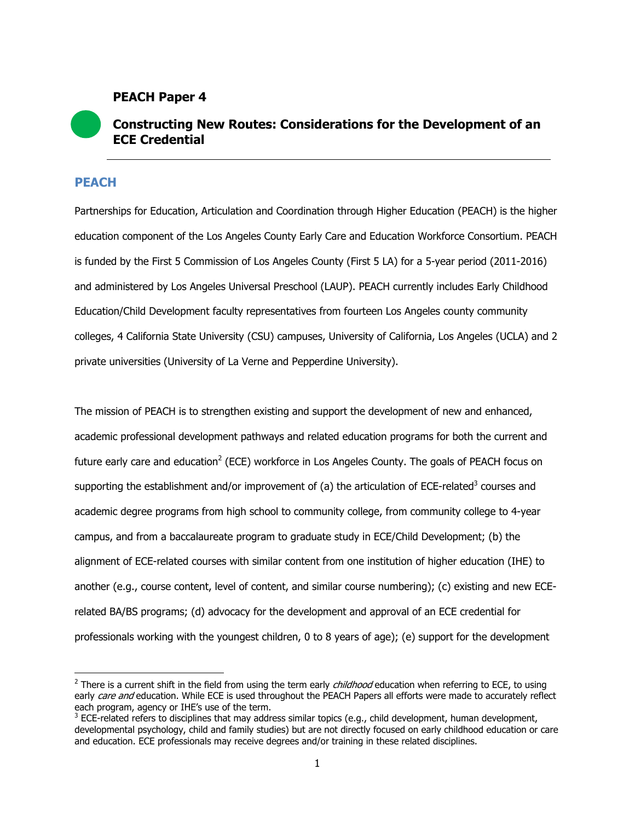# **PEACH Paper 4**

# **Constructing New Routes: Considerations for the Development of an ECE Credential**

# **PEACH**

 $\overline{a}$ 

Partnerships for Education, Articulation and Coordination through Higher Education (PEACH) is the higher education component of the Los Angeles County Early Care and Education Workforce Consortium. PEACH is funded by the First 5 Commission of Los Angeles County (First 5 LA) for a 5-year period (2011-2016) and administered by Los Angeles Universal Preschool (LAUP). PEACH currently includes Early Childhood Education/Child Development faculty representatives from fourteen Los Angeles county community colleges, 4 California State University (CSU) campuses, University of California, Los Angeles (UCLA) and 2 private universities (University of La Verne and Pepperdine University).

The mission of PEACH is to strengthen existing and support the development of new and enhanced, academic professional development pathways and related education programs for both the current and future early care and education<sup>2</sup> (ECE) workforce in Los Angeles County. The goals of PEACH focus on supporting the establishment and/or improvement of (a) the articulation of ECE-related<sup>3</sup> courses and academic degree programs from high school to community college, from community college to 4-year campus, and from a baccalaureate program to graduate study in ECE/Child Development; (b) the alignment of ECE-related courses with similar content from one institution of higher education (IHE) to another (e.g., course content, level of content, and similar course numbering); (c) existing and new ECErelated BA/BS programs; (d) advocacy for the development and approval of an ECE credential for professionals working with the youngest children, 0 to 8 years of age); (e) support for the development

<sup>&</sup>lt;sup>2</sup> There is a current shift in the field from using the term early *childhood* education when referring to ECE, to using early care and education. While ECE is used throughout the PEACH Papers all efforts were made to accurately reflect each program, agency or IHE's use of the term.

 $3$  ECE-related refers to disciplines that may address similar topics (e.g., child development, human development, developmental psychology, child and family studies) but are not directly focused on early childhood education or care and education. ECE professionals may receive degrees and/or training in these related disciplines.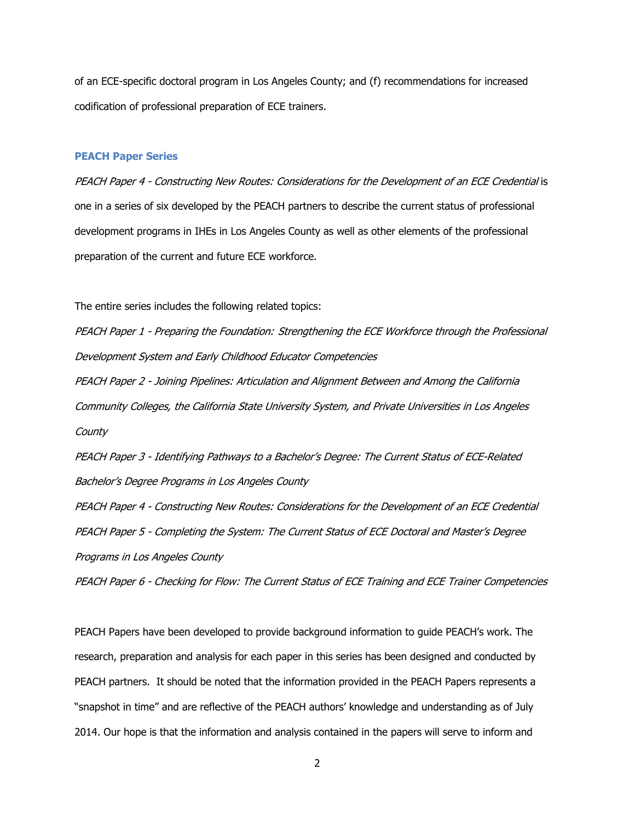of an ECE-specific doctoral program in Los Angeles County; and (f) recommendations for increased codification of professional preparation of ECE trainers.

#### **PEACH Paper Series**

PEACH Paper 4 - Constructing New Routes: Considerations for the Development of an ECE Credential is one in a series of six developed by the PEACH partners to describe the current status of professional development programs in IHEs in Los Angeles County as well as other elements of the professional preparation of the current and future ECE workforce.

The entire series includes the following related topics:

PEACH Paper 1 - Preparing the Foundation: Strengthening the ECE Workforce through the Professional Development System and Early Childhood Educator Competencies

PEACH Paper 2 - Joining Pipelines: Articulation and Alignment Between and Among the California Community Colleges, the California State University System, and Private Universities in Los Angeles **County** 

PEACH Paper 3 - Identifying Pathways to a Bachelor's Degree: The Current Status of ECE-Related Bachelor's Degree Programs in Los Angeles County

PEACH Paper 4 - Constructing New Routes: Considerations for the Development of an ECE Credential PEACH Paper 5 - Completing the System: The Current Status of ECE Doctoral and Master's Degree Programs in Los Angeles County

PEACH Paper 6 - Checking for Flow: The Current Status of ECE Training and ECE Trainer Competencies

PEACH Papers have been developed to provide background information to guide PEACH's work. The research, preparation and analysis for each paper in this series has been designed and conducted by PEACH partners. It should be noted that the information provided in the PEACH Papers represents a "snapshot in time" and are reflective of the PEACH authors' knowledge and understanding as of July 2014. Our hope is that the information and analysis contained in the papers will serve to inform and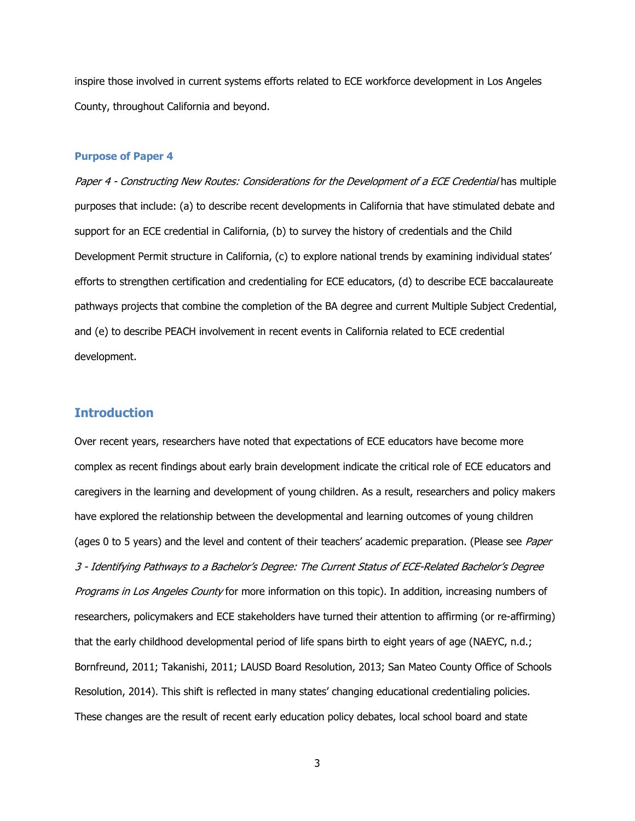inspire those involved in current systems efforts related to ECE workforce development in Los Angeles County, throughout California and beyond.

#### **Purpose of Paper 4**

Paper 4 - Constructing New Routes: Considerations for the Development of a ECE Credential has multiple purposes that include: (a) to describe recent developments in California that have stimulated debate and support for an ECE credential in California, (b) to survey the history of credentials and the Child Development Permit structure in California, (c) to explore national trends by examining individual states' efforts to strengthen certification and credentialing for ECE educators, (d) to describe ECE baccalaureate pathways projects that combine the completion of the BA degree and current Multiple Subject Credential, and (e) to describe PEACH involvement in recent events in California related to ECE credential development.

# **Introduction**

Over recent years, researchers have noted that expectations of ECE educators have become more complex as recent findings about early brain development indicate the critical role of ECE educators and caregivers in the learning and development of young children. As a result, researchers and policy makers have explored the relationship between the developmental and learning outcomes of young children (ages 0 to 5 years) and the level and content of their teachers' academic preparation. (Please see *Paper* 3 - Identifying Pathways to a Bachelor's Degree: The Current Status of ECE-Related Bachelor's Degree Programs in Los Angeles County for more information on this topic). In addition, increasing numbers of researchers, policymakers and ECE stakeholders have turned their attention to affirming (or re-affirming) that the early childhood developmental period of life spans birth to eight years of age (NAEYC, n.d.; Bornfreund, 2011; Takanishi, 2011; LAUSD Board Resolution, 2013; San Mateo County Office of Schools Resolution, 2014). This shift is reflected in many states' changing educational credentialing policies. These changes are the result of recent early education policy debates, local school board and state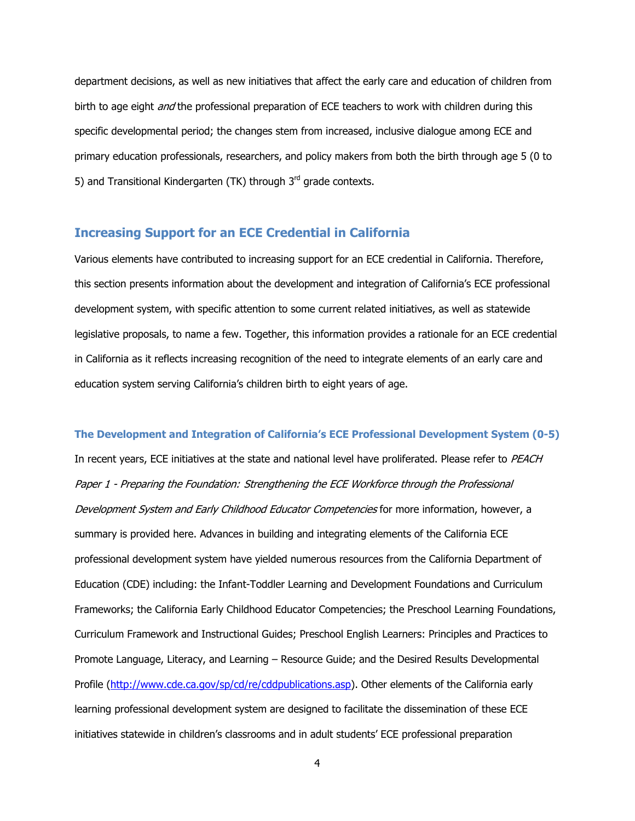department decisions, as well as new initiatives that affect the early care and education of children from birth to age eight *and* the professional preparation of ECE teachers to work with children during this specific developmental period; the changes stem from increased, inclusive dialogue among ECE and primary education professionals, researchers, and policy makers from both the birth through age 5 (0 to 5) and Transitional Kindergarten (TK) through  $3<sup>rd</sup>$  grade contexts.

# **Increasing Support for an ECE Credential in California**

Various elements have contributed to increasing support for an ECE credential in California. Therefore, this section presents information about the development and integration of California's ECE professional development system, with specific attention to some current related initiatives, as well as statewide legislative proposals, to name a few. Together, this information provides a rationale for an ECE credential in California as it reflects increasing recognition of the need to integrate elements of an early care and education system serving California's children birth to eight years of age.

**The Development and Integration of California's ECE Professional Development System (0-5)** 

In recent years, ECE initiatives at the state and national level have proliferated. Please refer to PEACH Paper 1 - Preparing the Foundation: Strengthening the ECE Workforce through the Professional Development System and Early Childhood Educator Competencies for more information, however, a summary is provided here. Advances in building and integrating elements of the California ECE professional development system have yielded numerous resources from the California Department of Education (CDE) including: the Infant-Toddler Learning and Development Foundations and Curriculum Frameworks; the California Early Childhood Educator Competencies; the Preschool Learning Foundations, Curriculum Framework and Instructional Guides; Preschool English Learners: Principles and Practices to Promote Language, Literacy, and Learning – Resource Guide; and the Desired Results Developmental Profile (http://www.cde.ca.gov/sp/cd/re/cddpublications.asp). Other elements of the California early learning professional development system are designed to facilitate the dissemination of these ECE initiatives statewide in children's classrooms and in adult students' ECE professional preparation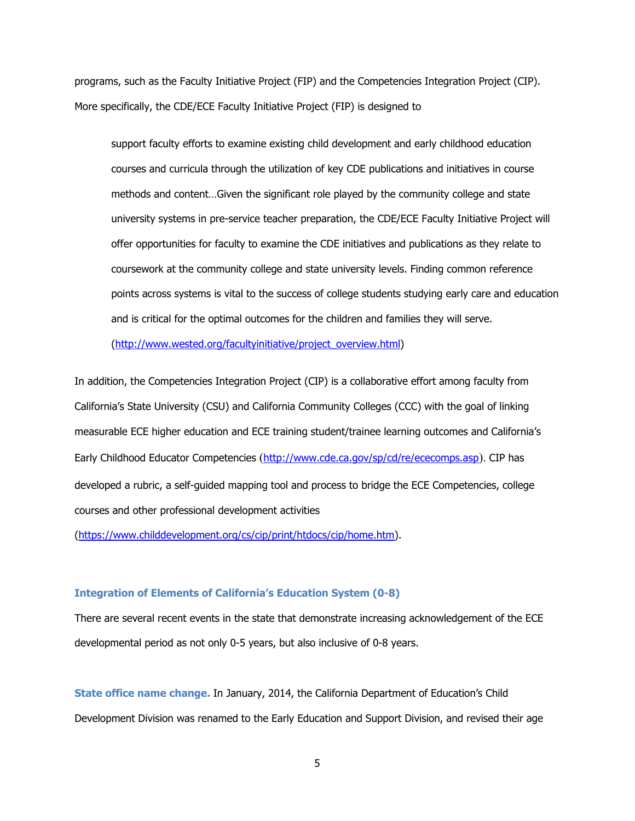programs, such as the Faculty Initiative Project (FIP) and the Competencies Integration Project (CIP). More specifically, the CDE/ECE Faculty Initiative Project (FIP) is designed to

support faculty efforts to examine existing child development and early childhood education courses and curricula through the utilization of key CDE publications and initiatives in course methods and content…Given the significant role played by the community college and state university systems in pre-service teacher preparation, the CDE/ECE Faculty Initiative Project will offer opportunities for faculty to examine the CDE initiatives and publications as they relate to coursework at the community college and state university levels. Finding common reference points across systems is vital to the success of college students studying early care and education and is critical for the optimal outcomes for the children and families they will serve.

(http://www.wested.org/facultyinitiative/project\_overview.html)

In addition, the Competencies Integration Project (CIP) is a collaborative effort among faculty from California's State University (CSU) and California Community Colleges (CCC) with the goal of linking measurable ECE higher education and ECE training student/trainee learning outcomes and California's Early Childhood Educator Competencies (http://www.cde.ca.gov/sp/cd/re/ececomps.asp). CIP has developed a rubric, a self-guided mapping tool and process to bridge the ECE Competencies, college courses and other professional development activities

(https://www.childdevelopment.org/cs/cip/print/htdocs/cip/home.htm).

### **Integration of Elements of California's Education System (0-8)**

There are several recent events in the state that demonstrate increasing acknowledgement of the ECE developmental period as not only 0-5 years, but also inclusive of 0-8 years.

**State office name change.** In January, 2014, the California Department of Education's Child Development Division was renamed to the Early Education and Support Division, and revised their age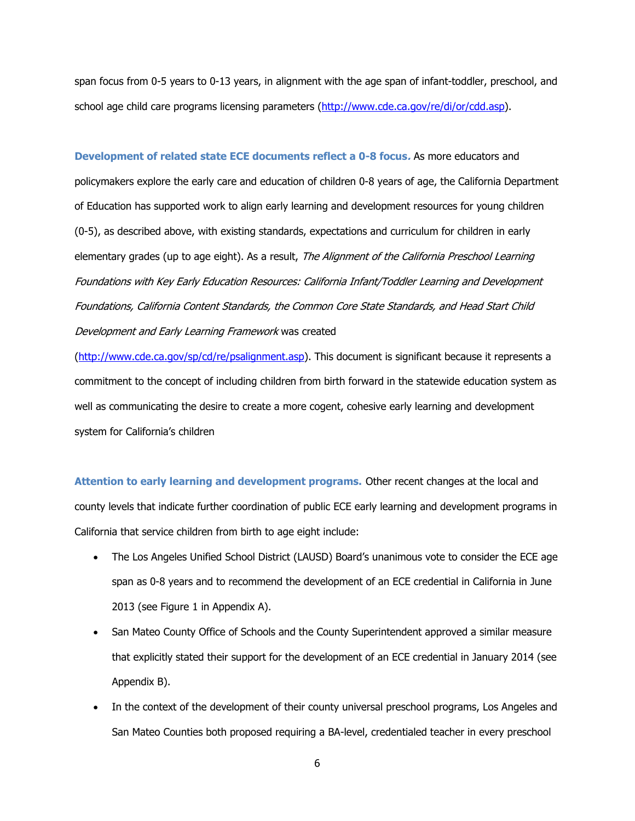span focus from 0-5 years to 0-13 years, in alignment with the age span of infant-toddler, preschool, and school age child care programs licensing parameters (http://www.cde.ca.gov/re/di/or/cdd.asp).

**Development of related state ECE documents reflect a 0-8 focus.** As more educators and policymakers explore the early care and education of children 0-8 years of age, the California Department of Education has supported work to align early learning and development resources for young children (0-5), as described above, with existing standards, expectations and curriculum for children in early elementary grades (up to age eight). As a result, The Alignment of the California Preschool Learning Foundations with Key Early Education Resources: California Infant/Toddler Learning and Development Foundations, California Content Standards, the Common Core State Standards, and Head Start Child Development and Early Learning Framework was created

(http://www.cde.ca.gov/sp/cd/re/psalignment.asp). This document is significant because it represents a commitment to the concept of including children from birth forward in the statewide education system as well as communicating the desire to create a more cogent, cohesive early learning and development system for California's children

**Attention to early learning and development programs.** Other recent changes at the local and county levels that indicate further coordination of public ECE early learning and development programs in California that service children from birth to age eight include:

- The Los Angeles Unified School District (LAUSD) Board's unanimous vote to consider the ECE age span as 0-8 years and to recommend the development of an ECE credential in California in June 2013 (see Figure 1 in Appendix A).
- San Mateo County Office of Schools and the County Superintendent approved a similar measure that explicitly stated their support for the development of an ECE credential in January 2014 (see Appendix B).
- In the context of the development of their county universal preschool programs, Los Angeles and San Mateo Counties both proposed requiring a BA-level, credentialed teacher in every preschool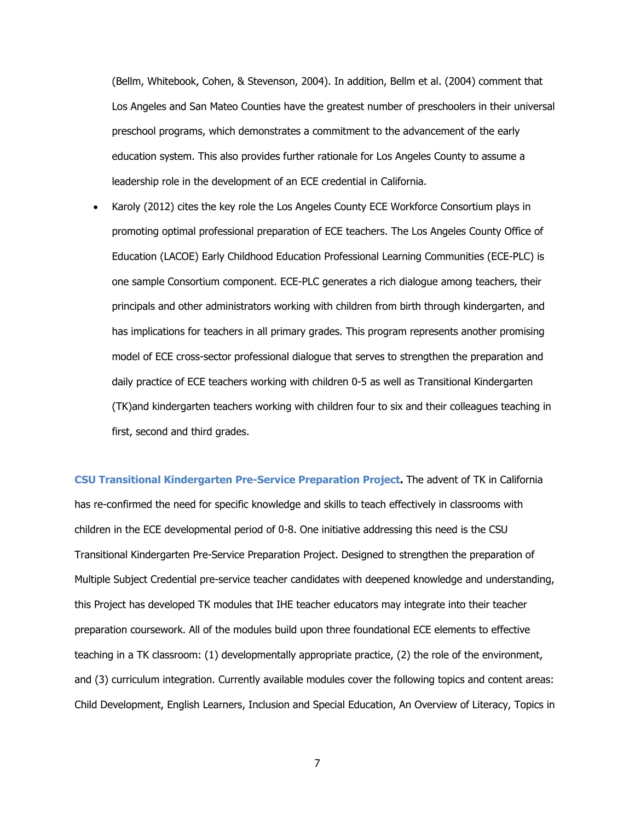(Bellm, Whitebook, Cohen, & Stevenson, 2004). In addition, Bellm et al. (2004) comment that Los Angeles and San Mateo Counties have the greatest number of preschoolers in their universal preschool programs, which demonstrates a commitment to the advancement of the early education system. This also provides further rationale for Los Angeles County to assume a leadership role in the development of an ECE credential in California.

x Karoly (2012) cites the key role the Los Angeles County ECE Workforce Consortium plays in promoting optimal professional preparation of ECE teachers. The Los Angeles County Office of Education (LACOE) Early Childhood Education Professional Learning Communities (ECE-PLC) is one sample Consortium component. ECE-PLC generates a rich dialogue among teachers, their principals and other administrators working with children from birth through kindergarten, and has implications for teachers in all primary grades. This program represents another promising model of ECE cross-sector professional dialogue that serves to strengthen the preparation and daily practice of ECE teachers working with children 0-5 as well as Transitional Kindergarten (TK)and kindergarten teachers working with children four to six and their colleagues teaching in first, second and third grades.

**CSU Transitional Kindergarten Pre-Service Preparation Project.** The advent of TK in California has re-confirmed the need for specific knowledge and skills to teach effectively in classrooms with children in the ECE developmental period of 0-8. One initiative addressing this need is the CSU Transitional Kindergarten Pre-Service Preparation Project. Designed to strengthen the preparation of Multiple Subject Credential pre-service teacher candidates with deepened knowledge and understanding, this Project has developed TK modules that IHE teacher educators may integrate into their teacher preparation coursework. All of the modules build upon three foundational ECE elements to effective teaching in a TK classroom: (1) developmentally appropriate practice, (2) the role of the environment, and (3) curriculum integration. Currently available modules cover the following topics and content areas: Child Development, English Learners, Inclusion and Special Education, An Overview of Literacy, Topics in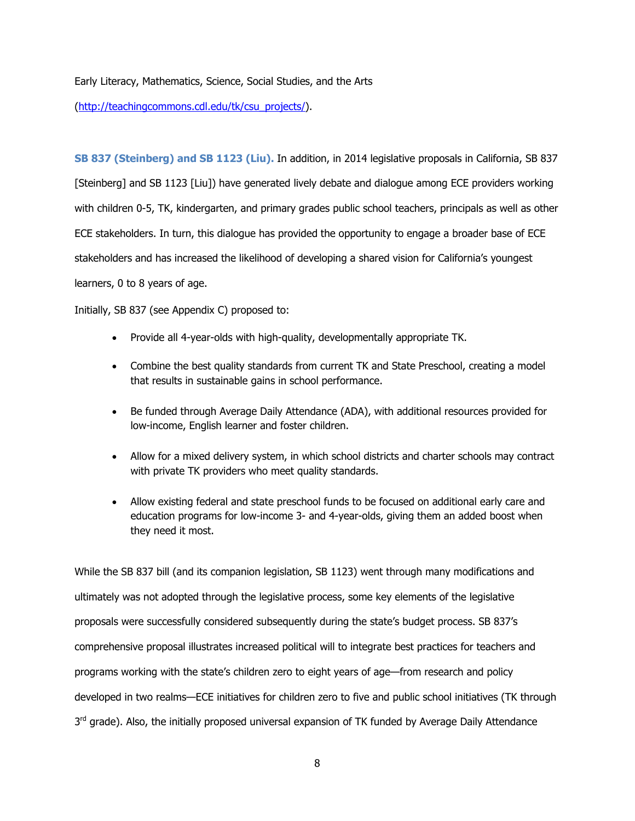Early Literacy, Mathematics, Science, Social Studies, and the Arts

(http://teachingcommons.cdl.edu/tk/csu\_projects/).

**SB 837 (Steinberg) and SB 1123 (Liu).** In addition, in 2014 legislative proposals in California, SB 837 [Steinberg] and SB 1123 [Liu]) have generated lively debate and dialogue among ECE providers working with children 0-5, TK, kindergarten, and primary grades public school teachers, principals as well as other ECE stakeholders. In turn, this dialogue has provided the opportunity to engage a broader base of ECE stakeholders and has increased the likelihood of developing a shared vision for California's youngest learners, 0 to 8 years of age.

Initially, SB 837 (see Appendix C) proposed to:

- Provide all 4-year-olds with high-quality, developmentally appropriate TK.
- Combine the best quality standards from current TK and State Preschool, creating a model that results in sustainable gains in school performance.
- Be funded through Average Daily Attendance (ADA), with additional resources provided for low-income, English learner and foster children.
- Allow for a mixed delivery system, in which school districts and charter schools may contract with private TK providers who meet quality standards.
- Allow existing federal and state preschool funds to be focused on additional early care and education programs for low-income 3- and 4-year-olds, giving them an added boost when they need it most.

While the SB 837 bill (and its companion legislation, SB 1123) went through many modifications and ultimately was not adopted through the legislative process, some key elements of the legislative proposals were successfully considered subsequently during the state's budget process. SB 837's comprehensive proposal illustrates increased political will to integrate best practices for teachers and programs working with the state's children zero to eight years of age—from research and policy developed in two realms—ECE initiatives for children zero to five and public school initiatives (TK through  $3<sup>rd</sup>$  grade). Also, the initially proposed universal expansion of TK funded by Average Daily Attendance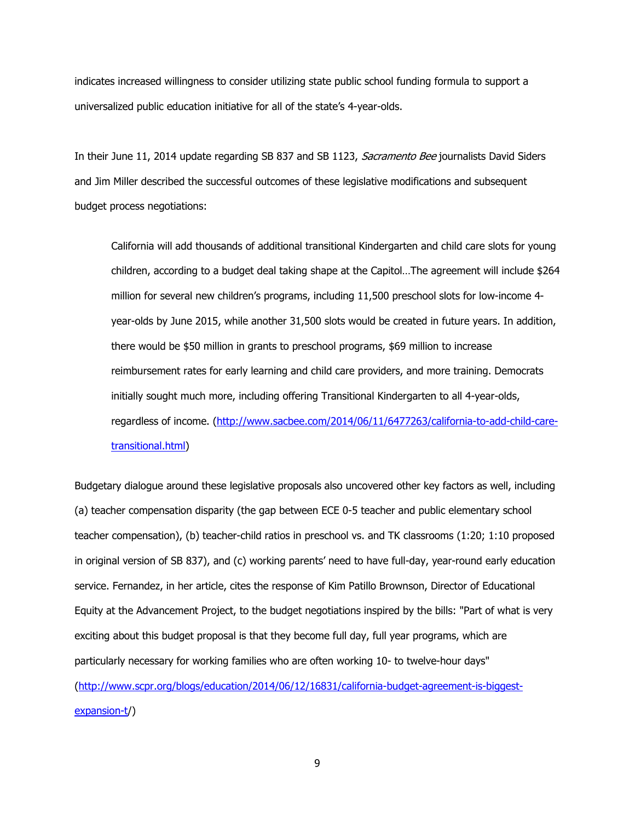indicates increased willingness to consider utilizing state public school funding formula to support a universalized public education initiative for all of the state's 4-year-olds.

In their June 11, 2014 update regarding SB 837 and SB 1123, Sacramento Bee journalists David Siders and Jim Miller described the successful outcomes of these legislative modifications and subsequent budget process negotiations:

California will add thousands of additional transitional Kindergarten and child care slots for young children, according to a budget deal taking shape at the Capitol…The agreement will include \$264 million for several new children's programs, including 11,500 preschool slots for low-income 4 year-olds by June 2015, while another 31,500 slots would be created in future years. In addition, there would be \$50 million in grants to preschool programs, \$69 million to increase reimbursement rates for early learning and child care providers, and more training. Democrats initially sought much more, including offering Transitional Kindergarten to all 4-year-olds, regardless of income. (http://www.sacbee.com/2014/06/11/6477263/california-to-add-child-caretransitional.html)

Budgetary dialogue around these legislative proposals also uncovered other key factors as well, including (a) teacher compensation disparity (the gap between ECE 0-5 teacher and public elementary school teacher compensation), (b) teacher-child ratios in preschool vs. and TK classrooms (1:20; 1:10 proposed in original version of SB 837), and (c) working parents' need to have full-day, year-round early education service. Fernandez, in her article, cites the response of Kim Patillo Brownson, Director of Educational Equity at the Advancement Project, to the budget negotiations inspired by the bills: "Part of what is very exciting about this budget proposal is that they become full day, full year programs, which are particularly necessary for working families who are often working 10- to twelve-hour days" (http://www.scpr.org/blogs/education/2014/06/12/16831/california-budget-agreement-is-biggestexpansion-t/)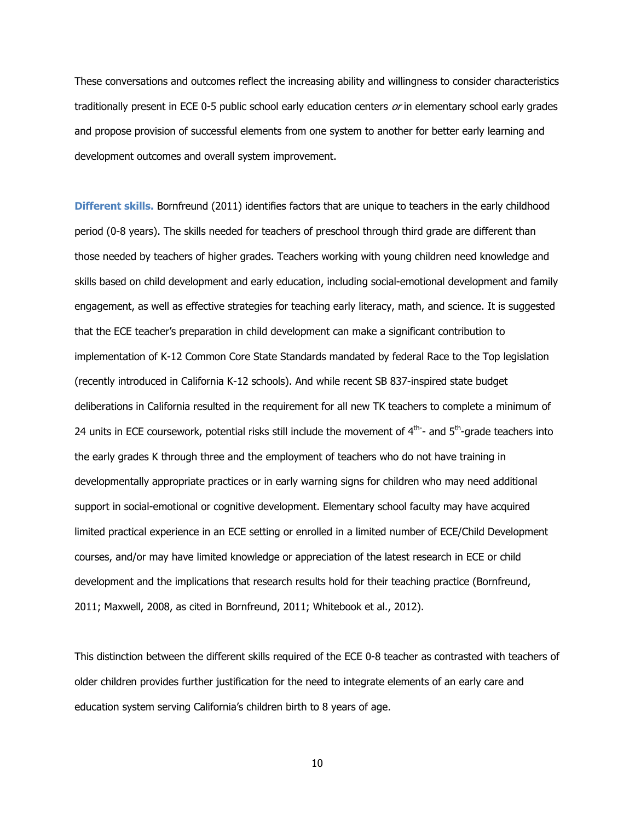These conversations and outcomes reflect the increasing ability and willingness to consider characteristics traditionally present in ECE 0-5 public school early education centers  $or$  in elementary school early grades and propose provision of successful elements from one system to another for better early learning and development outcomes and overall system improvement.

**Different skills.** Bornfreund (2011) identifies factors that are unique to teachers in the early childhood period (0-8 years). The skills needed for teachers of preschool through third grade are different than those needed by teachers of higher grades. Teachers working with young children need knowledge and skills based on child development and early education, including social-emotional development and family engagement, as well as effective strategies for teaching early literacy, math, and science. It is suggested that the ECE teacher's preparation in child development can make a significant contribution to implementation of K-12 Common Core State Standards mandated by federal Race to the Top legislation (recently introduced in California K-12 schools). And while recent SB 837-inspired state budget deliberations in California resulted in the requirement for all new TK teachers to complete a minimum of 24 units in ECE coursework, potential risks still include the movement of  $4<sup>th</sup>$ - and  $5<sup>th</sup>$ -grade teachers into the early grades K through three and the employment of teachers who do not have training in developmentally appropriate practices or in early warning signs for children who may need additional support in social-emotional or cognitive development. Elementary school faculty may have acquired limited practical experience in an ECE setting or enrolled in a limited number of ECE/Child Development courses, and/or may have limited knowledge or appreciation of the latest research in ECE or child development and the implications that research results hold for their teaching practice (Bornfreund, 2011; Maxwell, 2008, as cited in Bornfreund, 2011; Whitebook et al., 2012).

This distinction between the different skills required of the ECE 0-8 teacher as contrasted with teachers of older children provides further justification for the need to integrate elements of an early care and education system serving California's children birth to 8 years of age.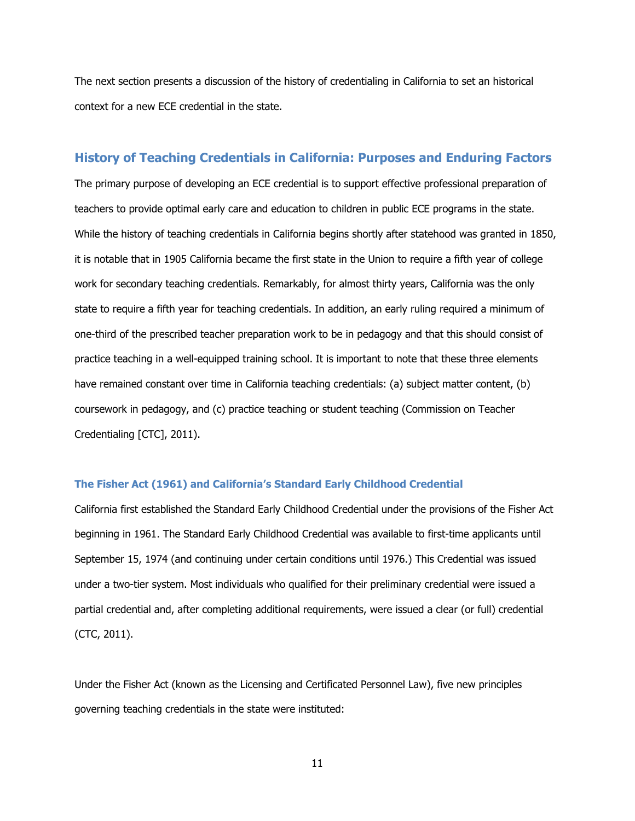The next section presents a discussion of the history of credentialing in California to set an historical context for a new ECE credential in the state.

# **History of Teaching Credentials in California: Purposes and Enduring Factors**

The primary purpose of developing an ECE credential is to support effective professional preparation of teachers to provide optimal early care and education to children in public ECE programs in the state. While the history of teaching credentials in California begins shortly after statehood was granted in 1850, it is notable that in 1905 California became the first state in the Union to require a fifth year of college work for secondary teaching credentials. Remarkably, for almost thirty years, California was the only state to require a fifth year for teaching credentials. In addition, an early ruling required a minimum of one-third of the prescribed teacher preparation work to be in pedagogy and that this should consist of practice teaching in a well-equipped training school. It is important to note that these three elements have remained constant over time in California teaching credentials: (a) subject matter content, (b) coursework in pedagogy, and (c) practice teaching or student teaching (Commission on Teacher Credentialing [CTC], 2011).

#### **The Fisher Act (1961) and California's Standard Early Childhood Credential**

California first established the Standard Early Childhood Credential under the provisions of the Fisher Act beginning in 1961. The Standard Early Childhood Credential was available to first-time applicants until September 15, 1974 (and continuing under certain conditions until 1976.) This Credential was issued under a two-tier system. Most individuals who qualified for their preliminary credential were issued a partial credential and, after completing additional requirements, were issued a clear (or full) credential (CTC, 2011).

Under the Fisher Act (known as the Licensing and Certificated Personnel Law), five new principles governing teaching credentials in the state were instituted: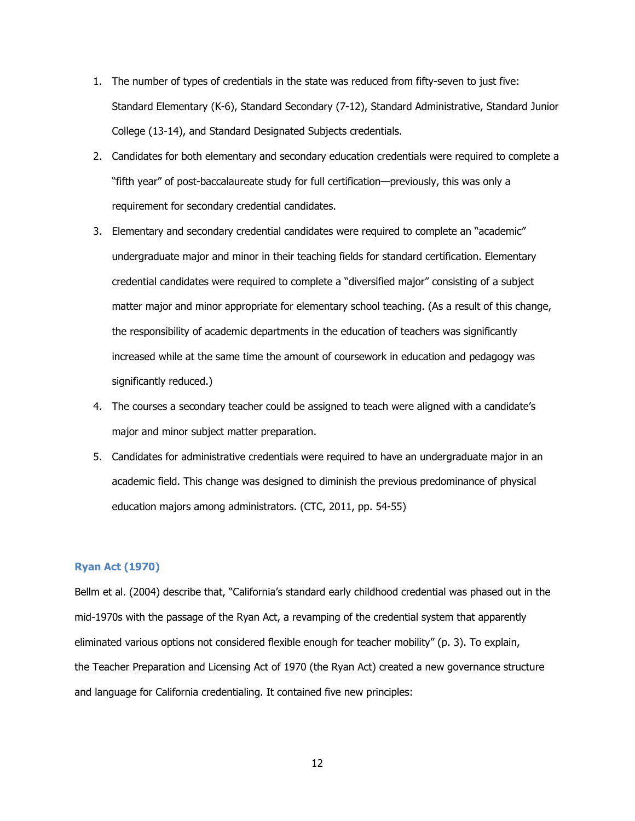- 1. The number of types of credentials in the state was reduced from fifty-seven to just five: Standard Elementary (K-6), Standard Secondary (7-12), Standard Administrative, Standard Junior College (13-14), and Standard Designated Subjects credentials.
- 2. Candidates for both elementary and secondary education credentials were required to complete a "fifth year" of post-baccalaureate study for full certification—previously, this was only a requirement for secondary credential candidates.
- 3. Elementary and secondary credential candidates were required to complete an "academic" undergraduate major and minor in their teaching fields for standard certification. Elementary credential candidates were required to complete a "diversified major" consisting of a subject matter major and minor appropriate for elementary school teaching. (As a result of this change, the responsibility of academic departments in the education of teachers was significantly increased while at the same time the amount of coursework in education and pedagogy was significantly reduced.)
- 4. The courses a secondary teacher could be assigned to teach were aligned with a candidate's major and minor subject matter preparation.
- 5. Candidates for administrative credentials were required to have an undergraduate major in an academic field. This change was designed to diminish the previous predominance of physical education majors among administrators. (CTC, 2011, pp. 54-55)

### **Ryan Act (1970)**

Bellm et al. (2004) describe that, "California's standard early childhood credential was phased out in the mid-1970s with the passage of the Ryan Act, a revamping of the credential system that apparently eliminated various options not considered flexible enough for teacher mobility" (p. 3). To explain, the Teacher Preparation and Licensing Act of 1970 (the Ryan Act) created a new governance structure and language for California credentialing. It contained five new principles: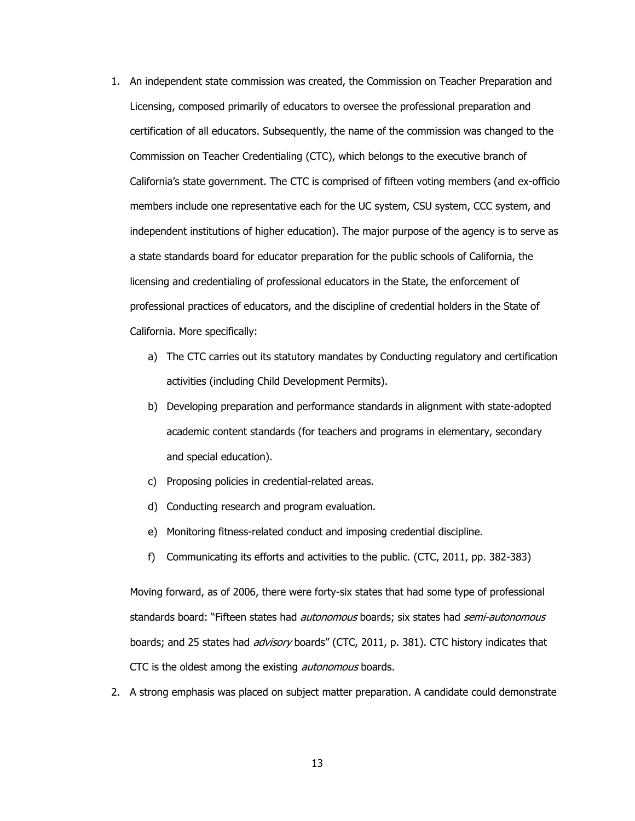- 1. An independent state commission was created, the Commission on Teacher Preparation and Licensing, composed primarily of educators to oversee the professional preparation and certification of all educators. Subsequently, the name of the commission was changed to the Commission on Teacher Credentialing (CTC), which belongs to the executive branch of California's state government. The CTC is comprised of fifteen voting members (and ex-officio members include one representative each for the UC system, CSU system, CCC system, and independent institutions of higher education). The major purpose of the agency is to serve as a state standards board for educator preparation for the public schools of California, the licensing and credentialing of professional educators in the State, the enforcement of professional practices of educators, and the discipline of credential holders in the State of California. More specifically:
	- a) The CTC carries out its statutory mandates by Conducting regulatory and certification activities (including Child Development Permits).
	- b) Developing preparation and performance standards in alignment with state-adopted academic content standards (for teachers and programs in elementary, secondary and special education).
	- c) Proposing policies in credential-related areas.
	- d) Conducting research and program evaluation.
	- e) Monitoring fitness-related conduct and imposing credential discipline.
	- f) Communicating its efforts and activities to the public. (CTC, 2011, pp. 382-383)

Moving forward, as of 2006, there were forty-six states that had some type of professional standards board: "Fifteen states had *autonomous* boards; six states had *semi-autonomous* boards; and 25 states had *advisory* boards" (CTC, 2011, p. 381). CTC history indicates that CTC is the oldest among the existing *autonomous* boards.

2. A strong emphasis was placed on subject matter preparation. A candidate could demonstrate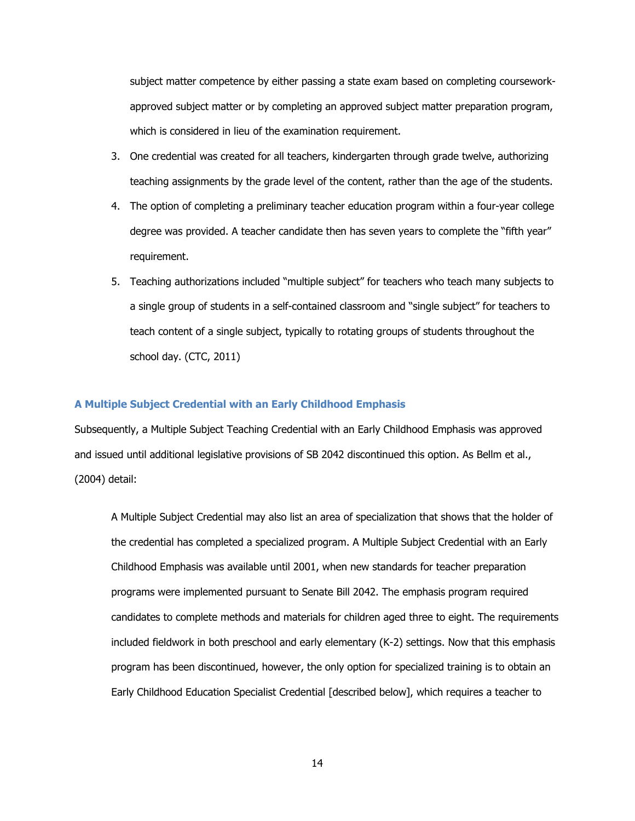subject matter competence by either passing a state exam based on completing courseworkapproved subject matter or by completing an approved subject matter preparation program, which is considered in lieu of the examination requirement.

- 3. One credential was created for all teachers, kindergarten through grade twelve, authorizing teaching assignments by the grade level of the content, rather than the age of the students.
- 4. The option of completing a preliminary teacher education program within a four-year college degree was provided. A teacher candidate then has seven years to complete the "fifth year" requirement.
- 5. Teaching authorizations included "multiple subject" for teachers who teach many subjects to a single group of students in a self-contained classroom and "single subject" for teachers to teach content of a single subject, typically to rotating groups of students throughout the school day. (CTC, 2011)

### **A Multiple Subject Credential with an Early Childhood Emphasis**

Subsequently, a Multiple Subject Teaching Credential with an Early Childhood Emphasis was approved and issued until additional legislative provisions of SB 2042 discontinued this option. As Bellm et al., (2004) detail:

A Multiple Subject Credential may also list an area of specialization that shows that the holder of the credential has completed a specialized program. A Multiple Subject Credential with an Early Childhood Emphasis was available until 2001, when new standards for teacher preparation programs were implemented pursuant to Senate Bill 2042. The emphasis program required candidates to complete methods and materials for children aged three to eight. The requirements included fieldwork in both preschool and early elementary (K-2) settings. Now that this emphasis program has been discontinued, however, the only option for specialized training is to obtain an Early Childhood Education Specialist Credential [described below], which requires a teacher to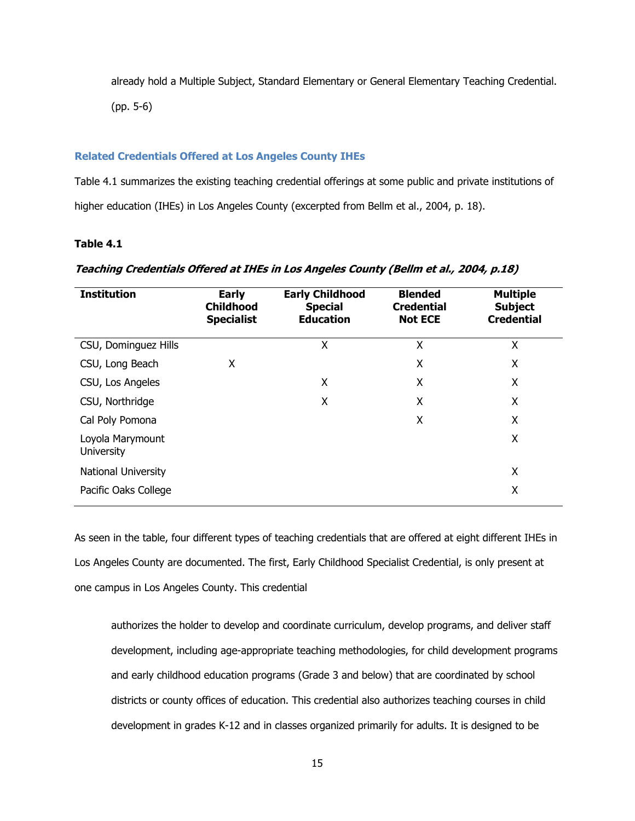already hold a Multiple Subject, Standard Elementary or General Elementary Teaching Credential.

(pp. 5-6)

#### **Related Credentials Offered at Los Angeles County IHEs**

Table 4.1 summarizes the existing teaching credential offerings at some public and private institutions of higher education (IHEs) in Los Angeles County (excerpted from Bellm et al., 2004, p. 18).

### **Table 4.1**

| <b>Institution</b>                    | <b>Early</b><br><b>Childhood</b><br><b>Specialist</b> | <b>Early Childhood</b><br><b>Special</b><br><b>Education</b> | <b>Blended</b><br><b>Credential</b><br><b>Not ECE</b> | <b>Multiple</b><br><b>Subject</b><br><b>Credential</b> |
|---------------------------------------|-------------------------------------------------------|--------------------------------------------------------------|-------------------------------------------------------|--------------------------------------------------------|
| CSU, Dominguez Hills                  |                                                       | Χ                                                            | Χ                                                     | X                                                      |
| CSU, Long Beach                       | X                                                     |                                                              | Χ                                                     | Χ                                                      |
| CSU, Los Angeles                      |                                                       | X                                                            | X                                                     | Χ                                                      |
| CSU, Northridge                       |                                                       | X                                                            | X                                                     | Χ                                                      |
| Cal Poly Pomona                       |                                                       |                                                              | Χ                                                     | X                                                      |
| Loyola Marymount<br><b>University</b> |                                                       |                                                              |                                                       | Χ                                                      |
| National University                   |                                                       |                                                              |                                                       | X                                                      |
| Pacific Oaks College                  |                                                       |                                                              |                                                       | Χ                                                      |

# **Teaching Credentials Offered at IHEs in Los Angeles County (Bellm et al., 2004, p.18)**

As seen in the table, four different types of teaching credentials that are offered at eight different IHEs in Los Angeles County are documented. The first, Early Childhood Specialist Credential, is only present at one campus in Los Angeles County. This credential

authorizes the holder to develop and coordinate curriculum, develop programs, and deliver staff development, including age-appropriate teaching methodologies, for child development programs and early childhood education programs (Grade 3 and below) that are coordinated by school districts or county offices of education. This credential also authorizes teaching courses in child development in grades K-12 and in classes organized primarily for adults. It is designed to be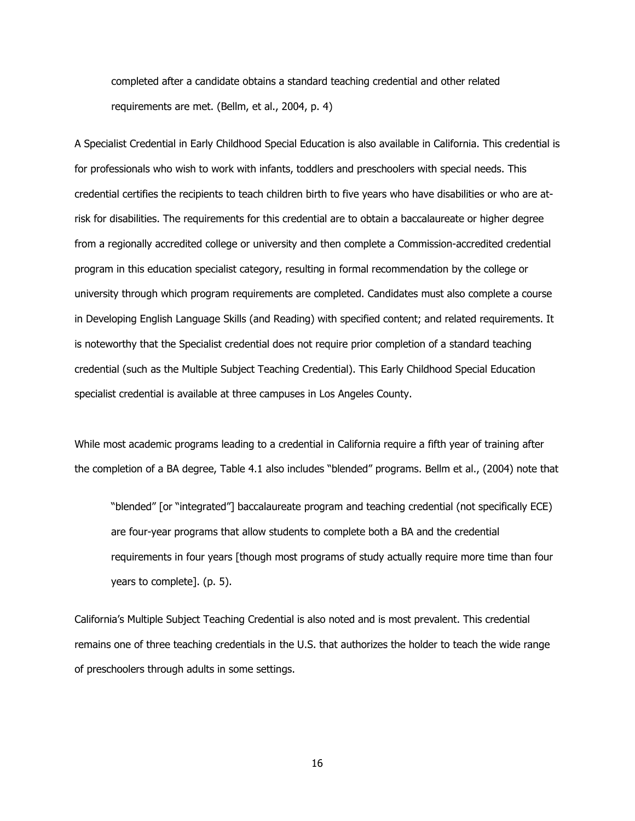completed after a candidate obtains a standard teaching credential and other related requirements are met. (Bellm, et al., 2004, p. 4)

A Specialist Credential in Early Childhood Special Education is also available in California. This credential is for professionals who wish to work with infants, toddlers and preschoolers with special needs. This credential certifies the recipients to teach children birth to five years who have disabilities or who are atrisk for disabilities. The requirements for this credential are to obtain a baccalaureate or higher degree from a regionally accredited college or university and then complete a Commission-accredited credential program in this education specialist category, resulting in formal recommendation by the college or university through which program requirements are completed. Candidates must also complete a course in Developing English Language Skills (and Reading) with specified content; and related requirements. It is noteworthy that the Specialist credential does not require prior completion of a standard teaching credential (such as the Multiple Subject Teaching Credential). This Early Childhood Special Education specialist credential is available at three campuses in Los Angeles County.

While most academic programs leading to a credential in California require a fifth year of training after the completion of a BA degree, Table 4.1 also includes "blended" programs. Bellm et al., (2004) note that

"blended" [or "integrated"] baccalaureate program and teaching credential (not specifically ECE) are four-year programs that allow students to complete both a BA and the credential requirements in four years [though most programs of study actually require more time than four years to complete]. (p. 5).

California's Multiple Subject Teaching Credential is also noted and is most prevalent. This credential remains one of three teaching credentials in the U.S. that authorizes the holder to teach the wide range of preschoolers through adults in some settings.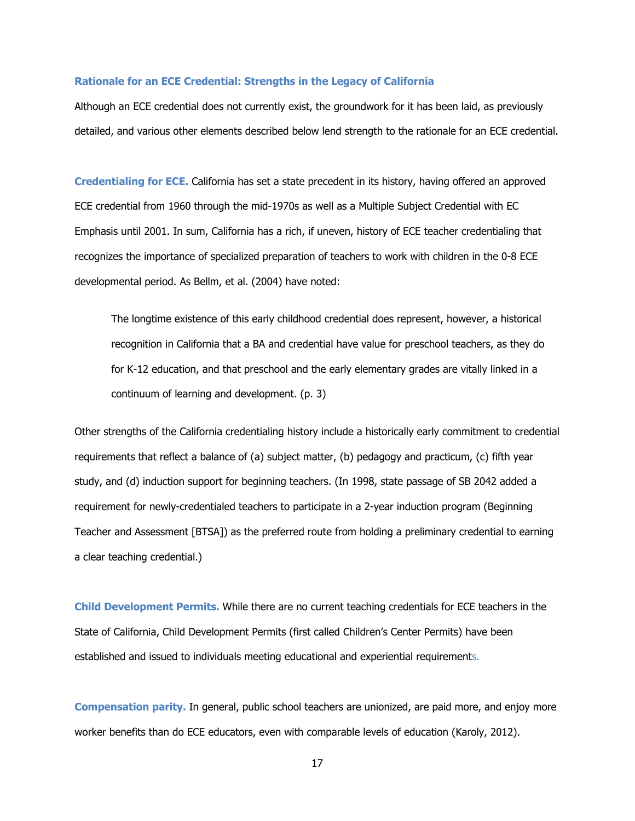#### **Rationale for an ECE Credential: Strengths in the Legacy of California**

Although an ECE credential does not currently exist, the groundwork for it has been laid, as previously detailed, and various other elements described below lend strength to the rationale for an ECE credential.

**Credentialing for ECE.** California has set a state precedent in its history, having offered an approved ECE credential from 1960 through the mid-1970s as well as a Multiple Subject Credential with EC Emphasis until 2001. In sum, California has a rich, if uneven, history of ECE teacher credentialing that recognizes the importance of specialized preparation of teachers to work with children in the 0-8 ECE developmental period. As Bellm, et al. (2004) have noted:

The longtime existence of this early childhood credential does represent, however, a historical recognition in California that a BA and credential have value for preschool teachers, as they do for K-12 education, and that preschool and the early elementary grades are vitally linked in a continuum of learning and development. (p. 3)

Other strengths of the California credentialing history include a historically early commitment to credential requirements that reflect a balance of (a) subject matter, (b) pedagogy and practicum, (c) fifth year study, and (d) induction support for beginning teachers. (In 1998, state passage of SB 2042 added a requirement for newly-credentialed teachers to participate in a 2-year induction program (Beginning Teacher and Assessment [BTSA]) as the preferred route from holding a preliminary credential to earning a clear teaching credential.)

**Child Development Permits.** While there are no current teaching credentials for ECE teachers in the State of California, Child Development Permits (first called Children's Center Permits) have been established and issued to individuals meeting educational and experiential requirements.

**Compensation parity.** In general, public school teachers are unionized, are paid more, and enjoy more worker benefits than do ECE educators, even with comparable levels of education (Karoly, 2012).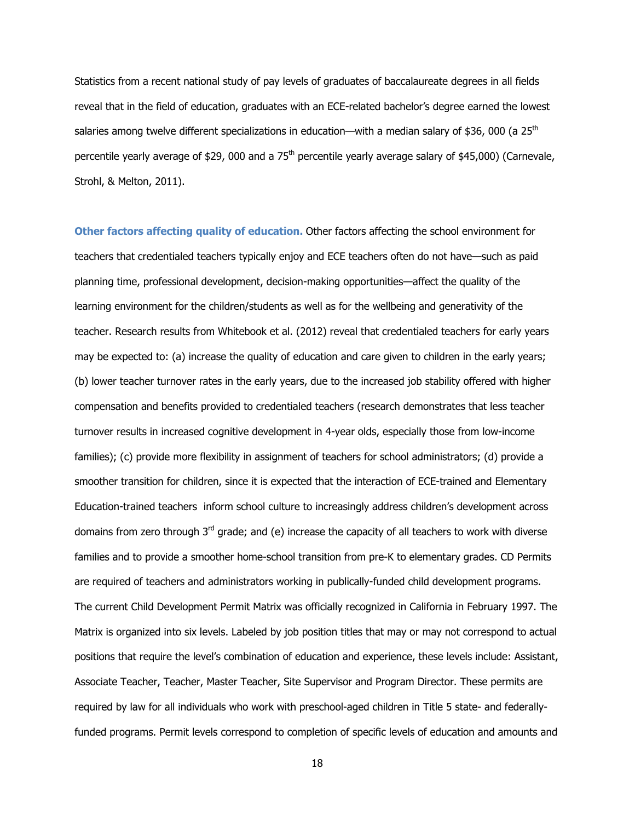Statistics from a recent national study of pay levels of graduates of baccalaureate degrees in all fields reveal that in the field of education, graduates with an ECE-related bachelor's degree earned the lowest salaries among twelve different specializations in education—with a median salary of \$36, 000 (a  $25<sup>th</sup>$ percentile yearly average of \$29, 000 and a 75<sup>th</sup> percentile yearly average salary of \$45,000) (Carnevale, Strohl, & Melton, 2011).

**Other factors affecting quality of education.** Other factors affecting the school environment for teachers that credentialed teachers typically enjoy and ECE teachers often do not have—such as paid planning time, professional development, decision-making opportunities—affect the quality of the learning environment for the children/students as well as for the wellbeing and generativity of the teacher. Research results from Whitebook et al. (2012) reveal that credentialed teachers for early years may be expected to: (a) increase the quality of education and care given to children in the early years; (b) lower teacher turnover rates in the early years, due to the increased job stability offered with higher compensation and benefits provided to credentialed teachers (research demonstrates that less teacher turnover results in increased cognitive development in 4-year olds, especially those from low-income families); (c) provide more flexibility in assignment of teachers for school administrators; (d) provide a smoother transition for children, since it is expected that the interaction of ECE-trained and Elementary Education-trained teachers inform school culture to increasingly address children's development across domains from zero through  $3<sup>rd</sup>$  grade; and (e) increase the capacity of all teachers to work with diverse families and to provide a smoother home-school transition from pre-K to elementary grades. CD Permits are required of teachers and administrators working in publically-funded child development programs. The current Child Development Permit Matrix was officially recognized in California in February 1997. The Matrix is organized into six levels. Labeled by job position titles that may or may not correspond to actual positions that require the level's combination of education and experience, these levels include: Assistant, Associate Teacher, Teacher, Master Teacher, Site Supervisor and Program Director. These permits are required by law for all individuals who work with preschool-aged children in Title 5 state- and federallyfunded programs. Permit levels correspond to completion of specific levels of education and amounts and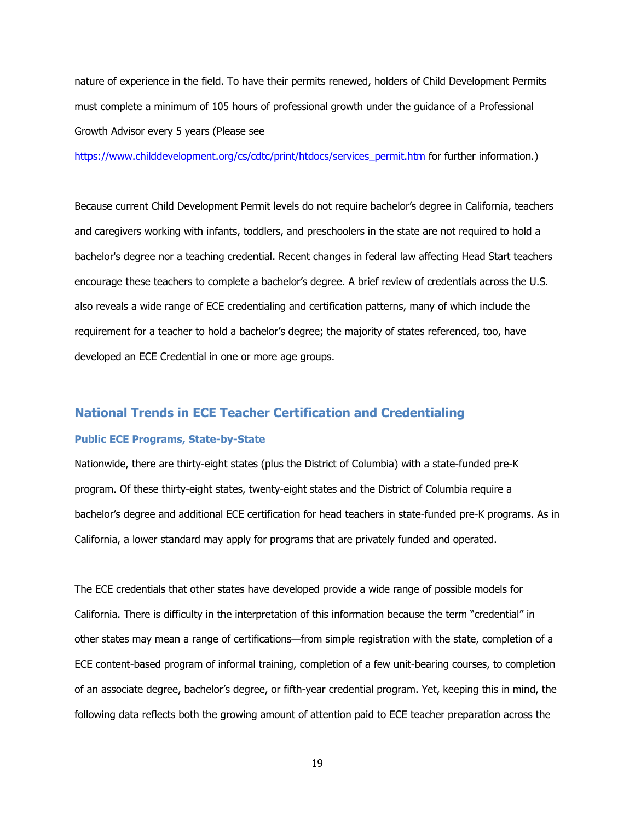nature of experience in the field. To have their permits renewed, holders of Child Development Permits must complete a minimum of 105 hours of professional growth under the guidance of a Professional Growth Advisor every 5 years (Please see

https://www.childdevelopment.org/cs/cdtc/print/htdocs/services\_permit.htm for further information.)

Because current Child Development Permit levels do not require bachelor's degree in California, teachers and caregivers working with infants, toddlers, and preschoolers in the state are not required to hold a bachelor's degree nor a teaching credential. Recent changes in federal law affecting Head Start teachers encourage these teachers to complete a bachelor's degree. A brief review of credentials across the U.S. also reveals a wide range of ECE credentialing and certification patterns, many of which include the requirement for a teacher to hold a bachelor's degree; the majority of states referenced, too, have developed an ECE Credential in one or more age groups.

# **National Trends in ECE Teacher Certification and Credentialing**

### **Public ECE Programs, State-by-State**

Nationwide, there are thirty-eight states (plus the District of Columbia) with a state-funded pre-K program. Of these thirty-eight states, twenty-eight states and the District of Columbia require a bachelor's degree and additional ECE certification for head teachers in state-funded pre-K programs. As in California, a lower standard may apply for programs that are privately funded and operated.

The ECE credentials that other states have developed provide a wide range of possible models for California. There is difficulty in the interpretation of this information because the term "credential" in other states may mean a range of certifications—from simple registration with the state, completion of a ECE content-based program of informal training, completion of a few unit-bearing courses, to completion of an associate degree, bachelor's degree, or fifth-year credential program. Yet, keeping this in mind, the following data reflects both the growing amount of attention paid to ECE teacher preparation across the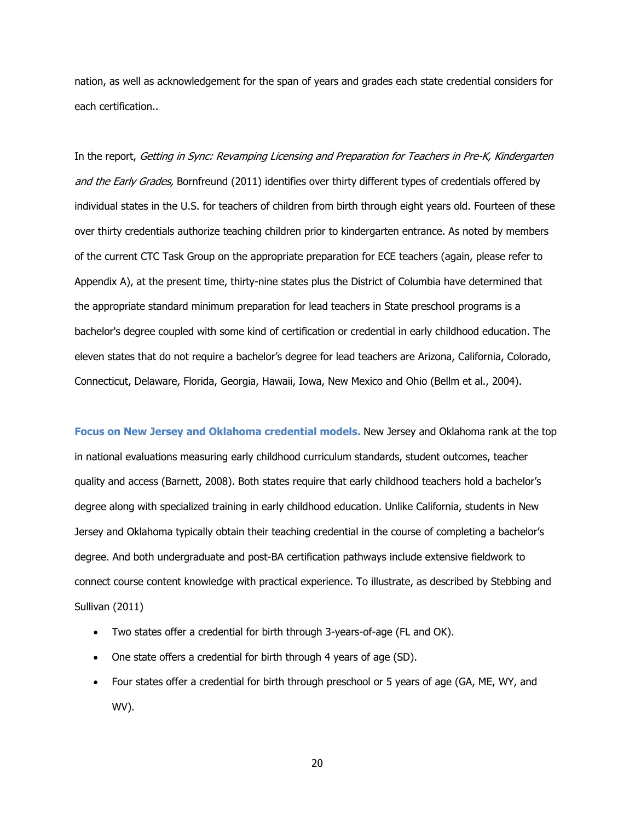nation, as well as acknowledgement for the span of years and grades each state credential considers for each certification..

In the report, Getting in Sync: Revamping Licensing and Preparation for Teachers in Pre-K, Kindergarten and the Early Grades, Bornfreund (2011) identifies over thirty different types of credentials offered by individual states in the U.S. for teachers of children from birth through eight years old. Fourteen of these over thirty credentials authorize teaching children prior to kindergarten entrance. As noted by members of the current CTC Task Group on the appropriate preparation for ECE teachers (again, please refer to Appendix A), at the present time, thirty-nine states plus the District of Columbia have determined that the appropriate standard minimum preparation for lead teachers in State preschool programs is a bachelor's degree coupled with some kind of certification or credential in early childhood education. The eleven states that do not require a bachelor's degree for lead teachers are Arizona, California, Colorado, Connecticut, Delaware, Florida, Georgia, Hawaii, Iowa, New Mexico and Ohio (Bellm et al., 2004).

**Focus on New Jersey and Oklahoma credential models.** New Jersey and Oklahoma rank at the top in national evaluations measuring early childhood curriculum standards, student outcomes, teacher quality and access (Barnett, 2008). Both states require that early childhood teachers hold a bachelor's degree along with specialized training in early childhood education. Unlike California, students in New Jersey and Oklahoma typically obtain their teaching credential in the course of completing a bachelor's degree. And both undergraduate and post-BA certification pathways include extensive fieldwork to connect course content knowledge with practical experience. To illustrate, as described by Stebbing and Sullivan (2011)

- Two states offer a credential for birth through 3-years-of-age (FL and OK).
- One state offers a credential for birth through 4 years of age (SD).
- Four states offer a credential for birth through preschool or 5 years of age (GA, ME, WY, and WV).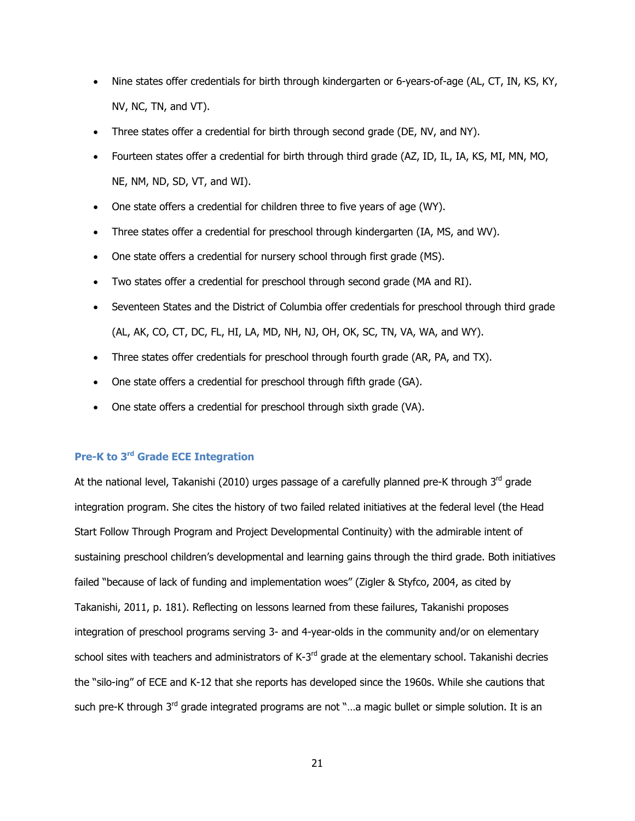- Nine states offer credentials for birth through kindergarten or 6-years-of-age (AL, CT, IN, KS, KY, NV, NC, TN, and VT).
- Three states offer a credential for birth through second grade (DE, NV, and NY).
- Fourteen states offer a credential for birth through third grade (AZ, ID, IL, IA, KS, MI, MN, MO, NE, NM, ND, SD, VT, and WI).
- One state offers a credential for children three to five years of age (WY).
- Three states offer a credential for preschool through kindergarten (IA, MS, and WV).
- One state offers a credential for nursery school through first grade (MS).
- Two states offer a credential for preschool through second grade (MA and RI).
- Seventeen States and the District of Columbia offer credentials for preschool through third grade (AL, AK, CO, CT, DC, FL, HI, LA, MD, NH, NJ, OH, OK, SC, TN, VA, WA, and WY).
- Three states offer credentials for preschool through fourth grade (AR, PA, and TX).
- One state offers a credential for preschool through fifth grade (GA).
- One state offers a credential for preschool through sixth grade (VA).

# **Pre-K to 3rd Grade ECE Integration**

At the national level, Takanishi (2010) urges passage of a carefully planned pre-K through  $3<sup>rd</sup>$  grade integration program. She cites the history of two failed related initiatives at the federal level (the Head Start Follow Through Program and Project Developmental Continuity) with the admirable intent of sustaining preschool children's developmental and learning gains through the third grade. Both initiatives failed "because of lack of funding and implementation woes" (Zigler & Styfco, 2004, as cited by Takanishi, 2011, p. 181). Reflecting on lessons learned from these failures, Takanishi proposes integration of preschool programs serving 3- and 4-year-olds in the community and/or on elementary school sites with teachers and administrators of K-3<sup>rd</sup> grade at the elementary school. Takanishi decries the "silo-ing" of ECE and K-12 that she reports has developed since the 1960s. While she cautions that such pre-K through 3<sup>rd</sup> grade integrated programs are not "...a magic bullet or simple solution. It is an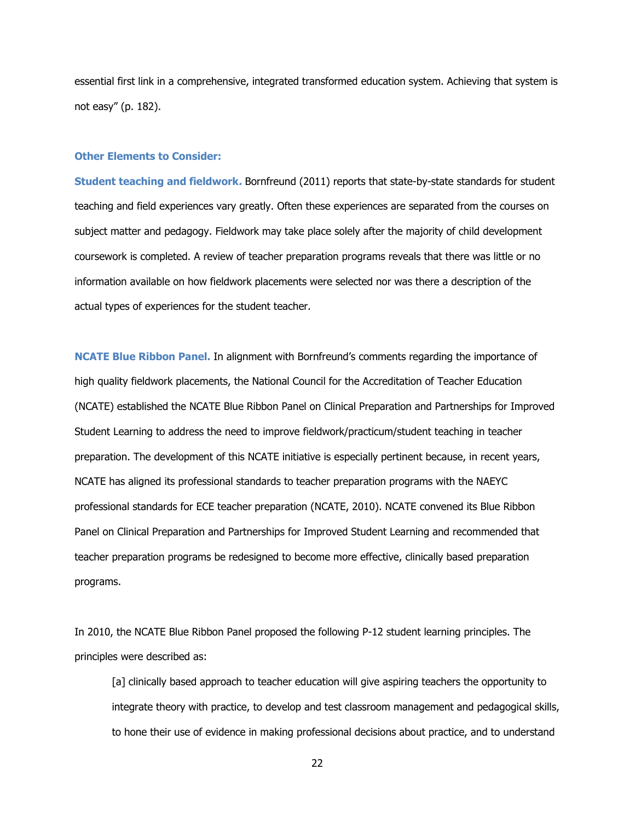essential first link in a comprehensive, integrated transformed education system. Achieving that system is not easy" (p. 182).

#### **Other Elements to Consider:**

**Student teaching and fieldwork.** Bornfreund (2011) reports that state-by-state standards for student teaching and field experiences vary greatly. Often these experiences are separated from the courses on subject matter and pedagogy. Fieldwork may take place solely after the majority of child development coursework is completed. A review of teacher preparation programs reveals that there was little or no information available on how fieldwork placements were selected nor was there a description of the actual types of experiences for the student teacher.

**NCATE Blue Ribbon Panel.** In alignment with Bornfreund's comments regarding the importance of high quality fieldwork placements, the National Council for the Accreditation of Teacher Education (NCATE) established the NCATE Blue Ribbon Panel on Clinical Preparation and Partnerships for Improved Student Learning to address the need to improve fieldwork/practicum/student teaching in teacher preparation. The development of this NCATE initiative is especially pertinent because, in recent years, NCATE has aligned its professional standards to teacher preparation programs with the NAEYC professional standards for ECE teacher preparation (NCATE, 2010). NCATE convened its Blue Ribbon Panel on Clinical Preparation and Partnerships for Improved Student Learning and recommended that teacher preparation programs be redesigned to become more effective, clinically based preparation programs.

In 2010, the NCATE Blue Ribbon Panel proposed the following P-12 student learning principles. The principles were described as:

[a] clinically based approach to teacher education will give aspiring teachers the opportunity to integrate theory with practice, to develop and test classroom management and pedagogical skills, to hone their use of evidence in making professional decisions about practice, and to understand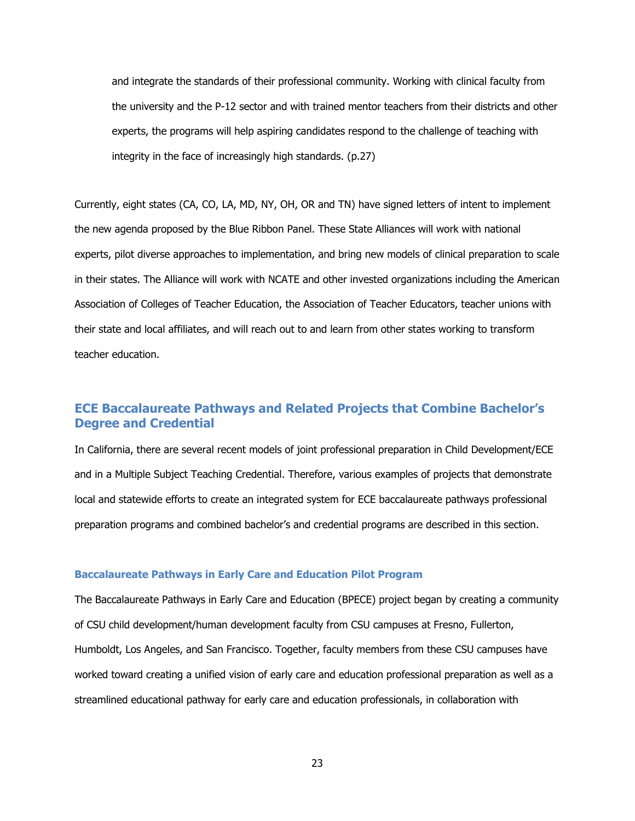and integrate the standards of their professional community. Working with clinical faculty from the university and the P-12 sector and with trained mentor teachers from their districts and other experts, the programs will help aspiring candidates respond to the challenge of teaching with integrity in the face of increasingly high standards. (p.27)

Currently, eight states (CA, CO, LA, MD, NY, OH, OR and TN) have signed letters of intent to implement the new agenda proposed by the Blue Ribbon Panel. These State Alliances will work with national experts, pilot diverse approaches to implementation, and bring new models of clinical preparation to scale in their states. The Alliance will work with NCATE and other invested organizations including the American Association of Colleges of Teacher Education, the Association of Teacher Educators, teacher unions with their state and local affiliates, and will reach out to and learn from other states working to transform teacher education.

# **ECE Baccalaureate Pathways and Related Projects that Combine Bachelor's Degree and Credential**

In California, there are several recent models of joint professional preparation in Child Development/ECE and in a Multiple Subject Teaching Credential. Therefore, various examples of projects that demonstrate local and statewide efforts to create an integrated system for ECE baccalaureate pathways professional preparation programs and combined bachelor's and credential programs are described in this section.

#### **Baccalaureate Pathways in Early Care and Education Pilot Program**

The Baccalaureate Pathways in Early Care and Education (BPECE) project began by creating a community of CSU child development/human development faculty from CSU campuses at Fresno, Fullerton, Humboldt, Los Angeles, and San Francisco. Together, faculty members from these CSU campuses have worked toward creating a unified vision of early care and education professional preparation as well as a streamlined educational pathway for early care and education professionals, in collaboration with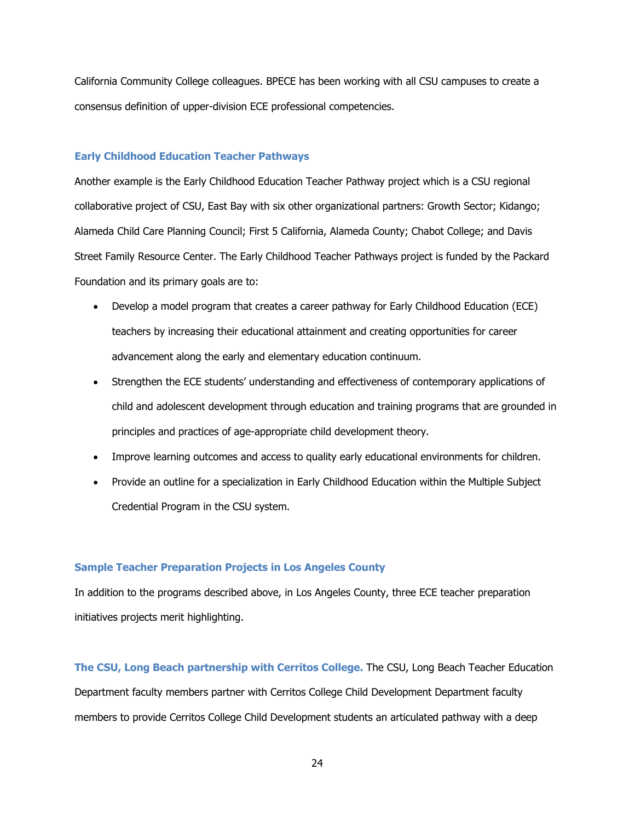California Community College colleagues. BPECE has been working with all CSU campuses to create a consensus definition of upper-division ECE professional competencies.

### **Early Childhood Education Teacher Pathways**

Another example is the Early Childhood Education Teacher Pathway project which is a CSU regional collaborative project of CSU, East Bay with six other organizational partners: Growth Sector; Kidango; Alameda Child Care Planning Council; First 5 California, Alameda County; Chabot College; and Davis Street Family Resource Center. The Early Childhood Teacher Pathways project is funded by the Packard Foundation and its primary goals are to:

- Develop a model program that creates a career pathway for Early Childhood Education (ECE) teachers by increasing their educational attainment and creating opportunities for career advancement along the early and elementary education continuum.
- Strengthen the ECE students' understanding and effectiveness of contemporary applications of child and adolescent development through education and training programs that are grounded in principles and practices of age-appropriate child development theory.
- Improve learning outcomes and access to quality early educational environments for children.
- Provide an outline for a specialization in Early Childhood Education within the Multiple Subject Credential Program in the CSU system.

### **Sample Teacher Preparation Projects in Los Angeles County**

In addition to the programs described above, in Los Angeles County, three ECE teacher preparation initiatives projects merit highlighting.

**The CSU, Long Beach partnership with Cerritos College.** The CSU, Long Beach Teacher Education Department faculty members partner with Cerritos College Child Development Department faculty members to provide Cerritos College Child Development students an articulated pathway with a deep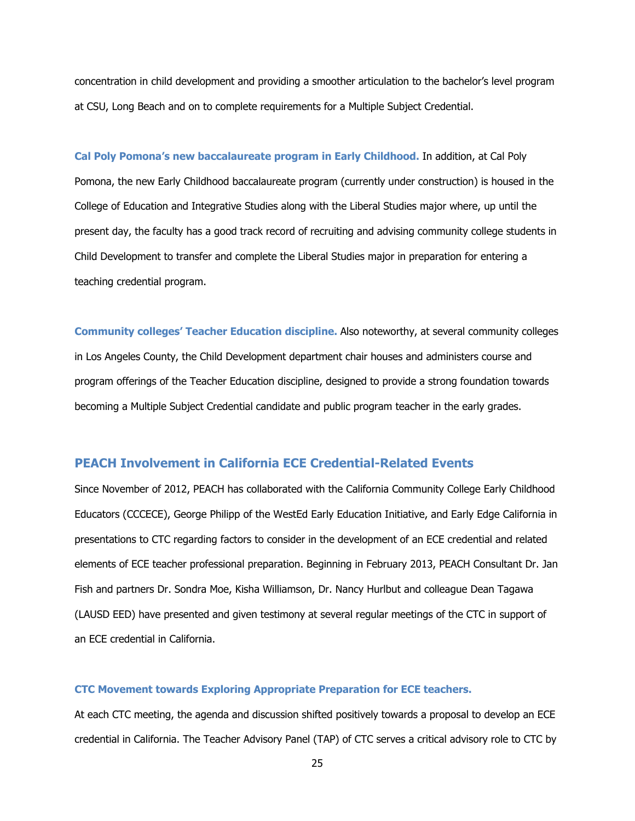concentration in child development and providing a smoother articulation to the bachelor's level program at CSU, Long Beach and on to complete requirements for a Multiple Subject Credential.

**Cal Poly Pomona's new baccalaureate program in Early Childhood.** In addition, at Cal Poly Pomona, the new Early Childhood baccalaureate program (currently under construction) is housed in the College of Education and Integrative Studies along with the Liberal Studies major where, up until the present day, the faculty has a good track record of recruiting and advising community college students in Child Development to transfer and complete the Liberal Studies major in preparation for entering a teaching credential program.

**Community colleges' Teacher Education discipline.** Also noteworthy, at several community colleges in Los Angeles County, the Child Development department chair houses and administers course and program offerings of the Teacher Education discipline, designed to provide a strong foundation towards becoming a Multiple Subject Credential candidate and public program teacher in the early grades.

# **PEACH Involvement in California ECE Credential-Related Events**

Since November of 2012, PEACH has collaborated with the California Community College Early Childhood Educators (CCCECE), George Philipp of the WestEd Early Education Initiative, and Early Edge California in presentations to CTC regarding factors to consider in the development of an ECE credential and related elements of ECE teacher professional preparation. Beginning in February 2013, PEACH Consultant Dr. Jan Fish and partners Dr. Sondra Moe, Kisha Williamson, Dr. Nancy Hurlbut and colleague Dean Tagawa (LAUSD EED) have presented and given testimony at several regular meetings of the CTC in support of an ECE credential in California.

#### **CTC Movement towards Exploring Appropriate Preparation for ECE teachers.**

At each CTC meeting, the agenda and discussion shifted positively towards a proposal to develop an ECE credential in California. The Teacher Advisory Panel (TAP) of CTC serves a critical advisory role to CTC by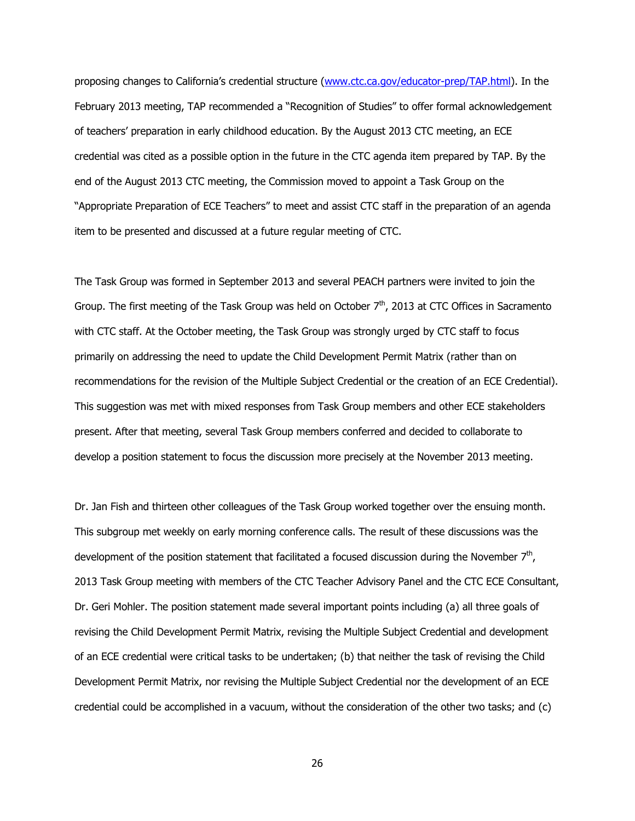proposing changes to California's credential structure (www.ctc.ca.gov/educator-prep/TAP.html). In the February 2013 meeting, TAP recommended a "Recognition of Studies" to offer formal acknowledgement of teachers' preparation in early childhood education. By the August 2013 CTC meeting, an ECE credential was cited as a possible option in the future in the CTC agenda item prepared by TAP. By the end of the August 2013 CTC meeting, the Commission moved to appoint a Task Group on the "Appropriate Preparation of ECE Teachers" to meet and assist CTC staff in the preparation of an agenda item to be presented and discussed at a future regular meeting of CTC.

The Task Group was formed in September 2013 and several PEACH partners were invited to join the Group. The first meeting of the Task Group was held on October  $7<sup>th</sup>$ , 2013 at CTC Offices in Sacramento with CTC staff. At the October meeting, the Task Group was strongly urged by CTC staff to focus primarily on addressing the need to update the Child Development Permit Matrix (rather than on recommendations for the revision of the Multiple Subject Credential or the creation of an ECE Credential). This suggestion was met with mixed responses from Task Group members and other ECE stakeholders present. After that meeting, several Task Group members conferred and decided to collaborate to develop a position statement to focus the discussion more precisely at the November 2013 meeting.

Dr. Jan Fish and thirteen other colleagues of the Task Group worked together over the ensuing month. This subgroup met weekly on early morning conference calls. The result of these discussions was the development of the position statement that facilitated a focused discussion during the November  $7<sup>th</sup>$ , 2013 Task Group meeting with members of the CTC Teacher Advisory Panel and the CTC ECE Consultant, Dr. Geri Mohler. The position statement made several important points including (a) all three goals of revising the Child Development Permit Matrix, revising the Multiple Subject Credential and development of an ECE credential were critical tasks to be undertaken; (b) that neither the task of revising the Child Development Permit Matrix, nor revising the Multiple Subject Credential nor the development of an ECE credential could be accomplished in a vacuum, without the consideration of the other two tasks; and (c)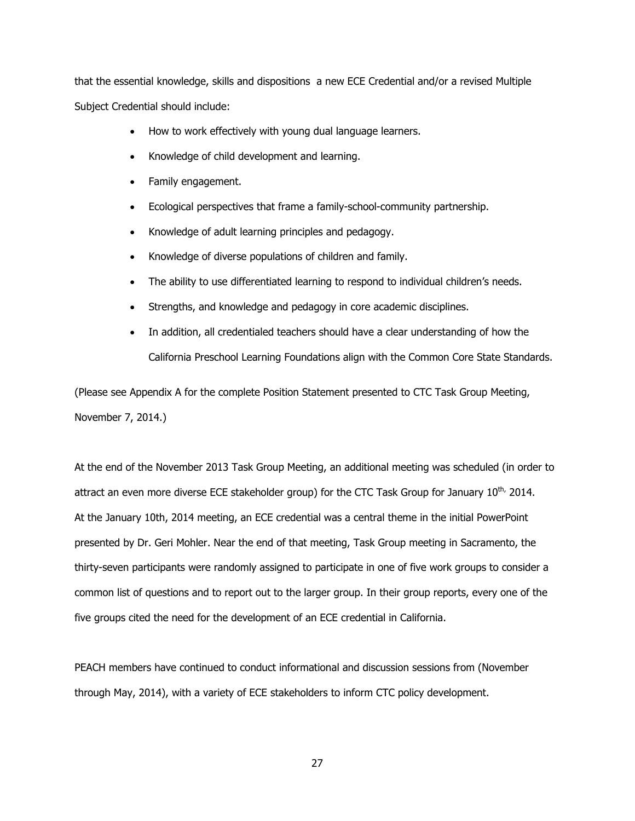that the essential knowledge, skills and dispositions a new ECE Credential and/or a revised Multiple Subject Credential should include:

- How to work effectively with young dual language learners.
- Knowledge of child development and learning.
- Family engagement.
- Ecological perspectives that frame a family-school-community partnership.
- Knowledge of adult learning principles and pedagogy.
- x Knowledge of diverse populations of children and family.
- The ability to use differentiated learning to respond to individual children's needs.
- Strengths, and knowledge and pedagogy in core academic disciplines.
- In addition, all credentialed teachers should have a clear understanding of how the California Preschool Learning Foundations align with the Common Core State Standards.

(Please see Appendix A for the complete Position Statement presented to CTC Task Group Meeting, November 7, 2014.)

At the end of the November 2013 Task Group Meeting, an additional meeting was scheduled (in order to attract an even more diverse ECE stakeholder group) for the CTC Task Group for January  $10^{th}$ , 2014. At the January 10th, 2014 meeting, an ECE credential was a central theme in the initial PowerPoint presented by Dr. Geri Mohler. Near the end of that meeting, Task Group meeting in Sacramento, the thirty-seven participants were randomly assigned to participate in one of five work groups to consider a common list of questions and to report out to the larger group. In their group reports, every one of the five groups cited the need for the development of an ECE credential in California.

PEACH members have continued to conduct informational and discussion sessions from (November through May, 2014), with a variety of ECE stakeholders to inform CTC policy development.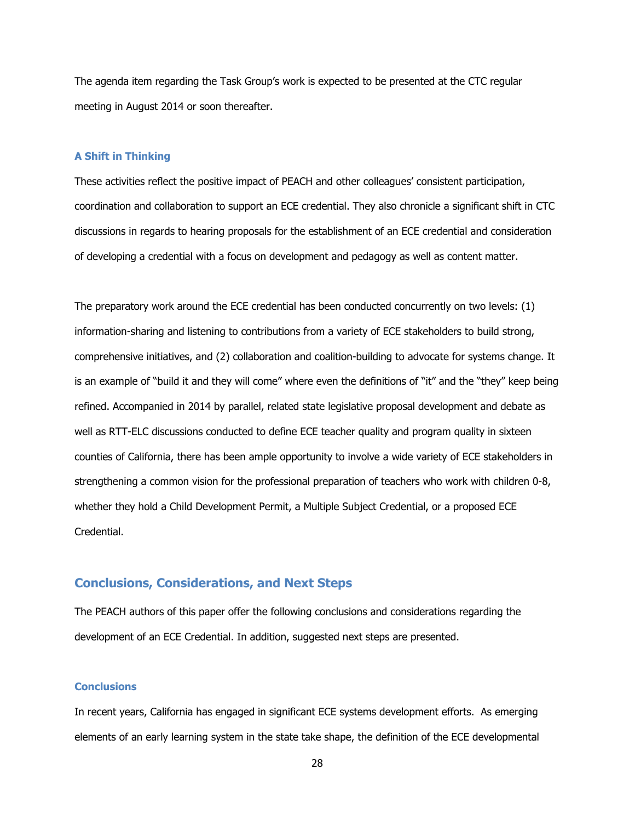The agenda item regarding the Task Group's work is expected to be presented at the CTC regular meeting in August 2014 or soon thereafter.

#### **A Shift in Thinking**

These activities reflect the positive impact of PEACH and other colleagues' consistent participation, coordination and collaboration to support an ECE credential. They also chronicle a significant shift in CTC discussions in regards to hearing proposals for the establishment of an ECE credential and consideration of developing a credential with a focus on development and pedagogy as well as content matter.

The preparatory work around the ECE credential has been conducted concurrently on two levels: (1) information-sharing and listening to contributions from a variety of ECE stakeholders to build strong, comprehensive initiatives, and (2) collaboration and coalition-building to advocate for systems change. It is an example of "build it and they will come" where even the definitions of "it" and the "they" keep being refined. Accompanied in 2014 by parallel, related state legislative proposal development and debate as well as RTT-ELC discussions conducted to define ECE teacher quality and program quality in sixteen counties of California, there has been ample opportunity to involve a wide variety of ECE stakeholders in strengthening a common vision for the professional preparation of teachers who work with children 0-8, whether they hold a Child Development Permit, a Multiple Subject Credential, or a proposed ECE Credential.

# **Conclusions, Considerations, and Next Steps**

The PEACH authors of this paper offer the following conclusions and considerations regarding the development of an ECE Credential. In addition, suggested next steps are presented.

### **Conclusions**

In recent years, California has engaged in significant ECE systems development efforts. As emerging elements of an early learning system in the state take shape, the definition of the ECE developmental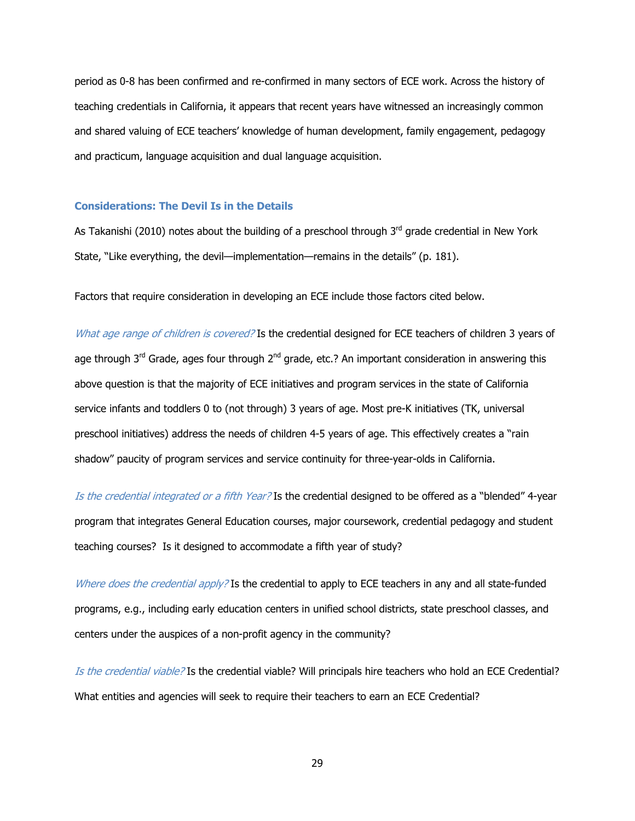period as 0-8 has been confirmed and re-confirmed in many sectors of ECE work. Across the history of teaching credentials in California, it appears that recent years have witnessed an increasingly common and shared valuing of ECE teachers' knowledge of human development, family engagement, pedagogy and practicum, language acquisition and dual language acquisition.

### **Considerations: The Devil Is in the Details**

As Takanishi (2010) notes about the building of a preschool through  $3<sup>rd</sup>$  grade credential in New York State, "Like everything, the devil—implementation—remains in the details" (p. 181).

Factors that require consideration in developing an ECE include those factors cited below.

What age range of children is covered? Is the credential designed for ECE teachers of children 3 years of age through  $3<sup>rd</sup>$  Grade, ages four through  $2<sup>nd</sup>$  grade, etc.? An important consideration in answering this above question is that the majority of ECE initiatives and program services in the state of California service infants and toddlers 0 to (not through) 3 years of age. Most pre-K initiatives (TK, universal preschool initiatives) address the needs of children 4-5 years of age. This effectively creates a "rain shadow" paucity of program services and service continuity for three-year-olds in California.

Is the credential integrated or a fifth Year? Is the credential designed to be offered as a "blended" 4-year program that integrates General Education courses, major coursework, credential pedagogy and student teaching courses? Is it designed to accommodate a fifth year of study?

Where does the credential apply? Is the credential to apply to ECE teachers in any and all state-funded programs, e.g., including early education centers in unified school districts, state preschool classes, and centers under the auspices of a non-profit agency in the community?

Is the credential viable? Is the credential viable? Will principals hire teachers who hold an ECE Credential? What entities and agencies will seek to require their teachers to earn an ECE Credential?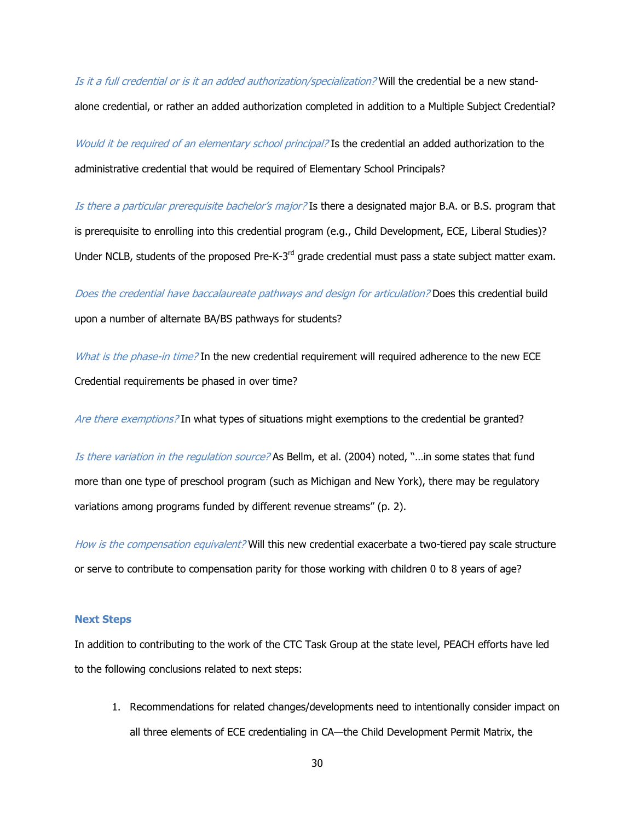Is it a full credential or is it an added authorization/specialization? Will the credential be a new standalone credential, or rather an added authorization completed in addition to a Multiple Subject Credential?

Would it be required of an elementary school principal? Is the credential an added authorization to the administrative credential that would be required of Elementary School Principals?

Is there a particular prerequisite bachelor's major? Is there a designated major B.A. or B.S. program that is prerequisite to enrolling into this credential program (e.g., Child Development, ECE, Liberal Studies)? Under NCLB, students of the proposed Pre-K-3<sup>rd</sup> grade credential must pass a state subject matter exam.

Does the credential have baccalaureate pathways and design for articulation? Does this credential build upon a number of alternate BA/BS pathways for students?

What is the phase-in time? In the new credential requirement will required adherence to the new ECE Credential requirements be phased in over time?

Are there exemptions? In what types of situations might exemptions to the credential be granted?

Is there variation in the regulation source? As Bellm, et al. (2004) noted, "...in some states that fund more than one type of preschool program (such as Michigan and New York), there may be regulatory variations among programs funded by different revenue streams" (p. 2).

How is the compensation equivalent? Will this new credential exacerbate a two-tiered pay scale structure or serve to contribute to compensation parity for those working with children 0 to 8 years of age?

### **Next Steps**

In addition to contributing to the work of the CTC Task Group at the state level, PEACH efforts have led to the following conclusions related to next steps:

1. Recommendations for related changes/developments need to intentionally consider impact on all three elements of ECE credentialing in CA—the Child Development Permit Matrix, the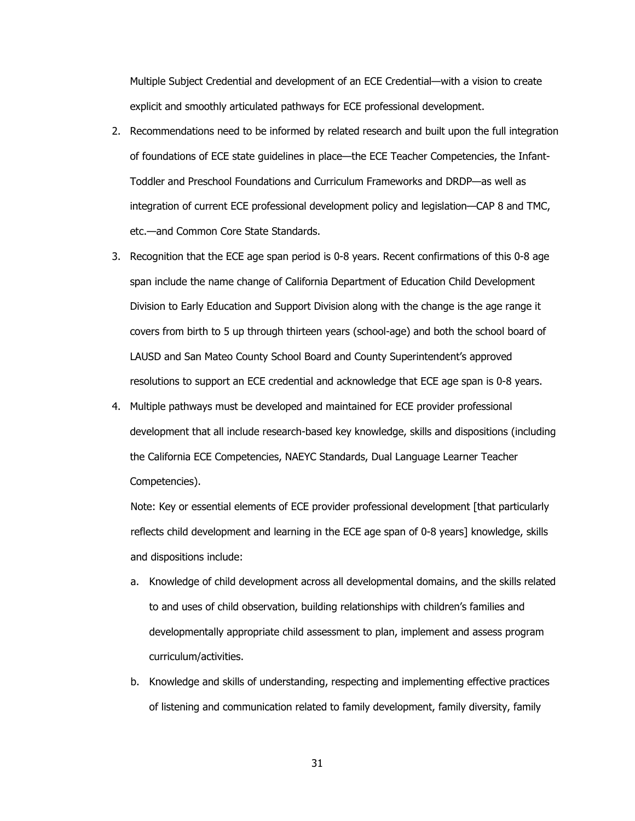Multiple Subject Credential and development of an ECE Credential—with a vision to create explicit and smoothly articulated pathways for ECE professional development.

- 2. Recommendations need to be informed by related research and built upon the full integration of foundations of ECE state guidelines in place—the ECE Teacher Competencies, the Infant-Toddler and Preschool Foundations and Curriculum Frameworks and DRDP—as well as integration of current ECE professional development policy and legislation—CAP 8 and TMC, etc.—and Common Core State Standards.
- 3. Recognition that the ECE age span period is 0-8 years. Recent confirmations of this 0-8 age span include the name change of California Department of Education Child Development Division to Early Education and Support Division along with the change is the age range it covers from birth to 5 up through thirteen years (school-age) and both the school board of LAUSD and San Mateo County School Board and County Superintendent's approved resolutions to support an ECE credential and acknowledge that ECE age span is 0-8 years.
- 4. Multiple pathways must be developed and maintained for ECE provider professional development that all include research-based key knowledge, skills and dispositions (including the California ECE Competencies, NAEYC Standards, Dual Language Learner Teacher Competencies).

Note: Key or essential elements of ECE provider professional development [that particularly reflects child development and learning in the ECE age span of 0-8 years] knowledge, skills and dispositions include:

- a. Knowledge of child development across all developmental domains, and the skills related to and uses of child observation, building relationships with children's families and developmentally appropriate child assessment to plan, implement and assess program curriculum/activities.
- b. Knowledge and skills of understanding, respecting and implementing effective practices of listening and communication related to family development, family diversity, family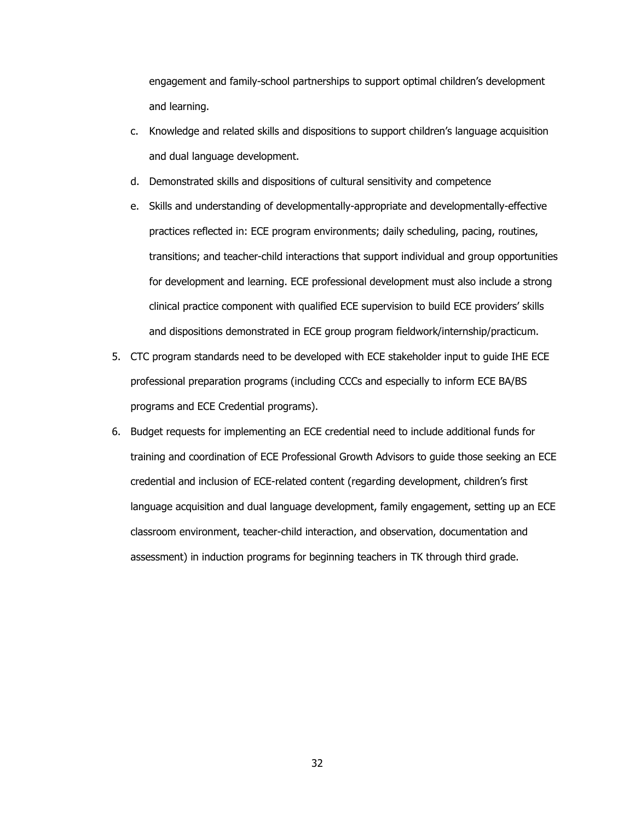engagement and family-school partnerships to support optimal children's development and learning.

- c. Knowledge and related skills and dispositions to support children's language acquisition and dual language development.
- d. Demonstrated skills and dispositions of cultural sensitivity and competence
- e. Skills and understanding of developmentally-appropriate and developmentally-effective practices reflected in: ECE program environments; daily scheduling, pacing, routines, transitions; and teacher-child interactions that support individual and group opportunities for development and learning. ECE professional development must also include a strong clinical practice component with qualified ECE supervision to build ECE providers' skills and dispositions demonstrated in ECE group program fieldwork/internship/practicum.
- 5. CTC program standards need to be developed with ECE stakeholder input to guide IHE ECE professional preparation programs (including CCCs and especially to inform ECE BA/BS programs and ECE Credential programs).
- 6. Budget requests for implementing an ECE credential need to include additional funds for training and coordination of ECE Professional Growth Advisors to guide those seeking an ECE credential and inclusion of ECE-related content (regarding development, children's first language acquisition and dual language development, family engagement, setting up an ECE classroom environment, teacher-child interaction, and observation, documentation and assessment) in induction programs for beginning teachers in TK through third grade.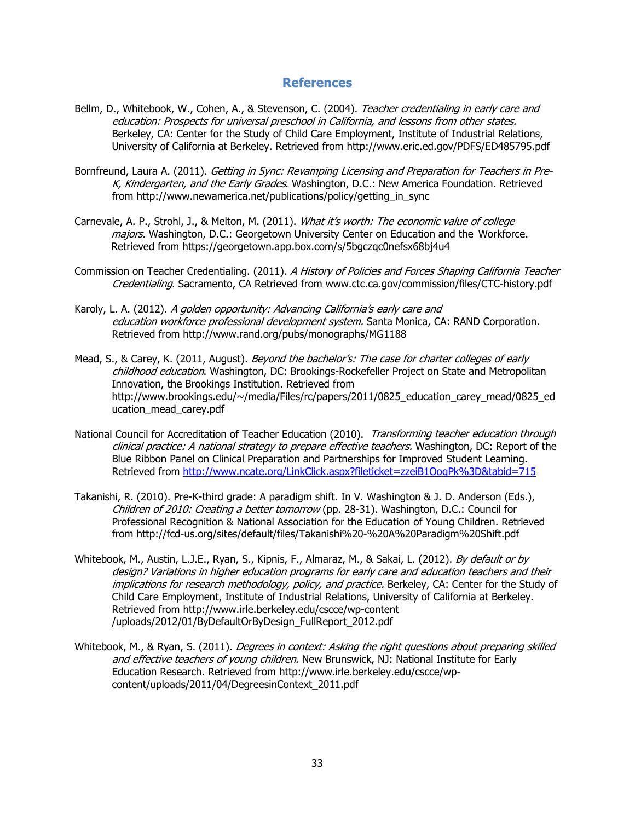# **References**

- Bellm, D., Whitebook, W., Cohen, A., & Stevenson, C. (2004). Teacher credentialing in early care and education: Prospects for universal preschool in California, and lessons from other states. Berkeley, CA: Center for the Study of Child Care Employment, Institute of Industrial Relations, University of California at Berkeley. Retrieved from http://www.eric.ed.gov/PDFS/ED485795.pdf
- Bornfreund, Laura A. (2011). Getting in Sync: Revamping Licensing and Preparation for Teachers in Pre-K, Kindergarten, and the Early Grades. Washington, D.C.: New America Foundation. Retrieved from http://www.newamerica.net/publications/policy/getting\_in\_sync
- Carnevale, A. P., Strohl, J., & Melton, M. (2011). What it's worth: The economic value of college majors. Washington, D.C.: Georgetown University Center on Education and the Workforce. Retrieved from https://georgetown.app.box.com/s/5bgczqc0nefsx68bj4u4
- Commission on Teacher Credentialing. (2011). A History of Policies and Forces Shaping California Teacher Credentialing. Sacramento, CA Retrieved from www.ctc.ca.gov/commission/files/CTC-history.pdf
- Karoly, L. A. (2012). A golden opportunity: Advancing California's early care and education workforce professional development system. Santa Monica, CA: RAND Corporation. Retrieved from http://www.rand.org/pubs/monographs/MG1188
- Mead, S., & Carey, K. (2011, August). Beyond the bachelor's: The case for charter colleges of early childhood education. Washington, DC: Brookings-Rockefeller Project on State and Metropolitan Innovation, the Brookings Institution. Retrieved from http://www.brookings.edu/~/media/Files/rc/papers/2011/0825\_education\_carey\_mead/0825\_ed ucation\_mead\_carey.pdf
- National Council for Accreditation of Teacher Education (2010). Transforming teacher education through clinical practice: A national strategy to prepare effective teachers. Washington, DC: Report of the Blue Ribbon Panel on Clinical Preparation and Partnerships for Improved Student Learning. Retrieved from http://www.ncate.org/LinkClick.aspx?fileticket=zzeiB1OoqPk%3D&tabid=715
- Takanishi, R. (2010). Pre-K-third grade: A paradigm shift. In V. Washington & J. D. Anderson (Eds.), Children of 2010: Creating a better tomorrow (pp. 28-31). Washington, D.C.: Council for Professional Recognition & National Association for the Education of Young Children. Retrieved from http://fcd-us.org/sites/default/files/Takanishi%20-%20A%20Paradigm%20Shift.pdf
- Whitebook, M., Austin, L.J.E., Ryan, S., Kipnis, F., Almaraz, M., & Sakai, L. (2012). By default or by design? Variations in higher education programs for early care and education teachers and their implications for research methodology, policy, and practice. Berkeley, CA: Center for the Study of Child Care Employment, Institute of Industrial Relations, University of California at Berkeley. Retrieved from http://www.irle.berkeley.edu/cscce/wp-content /uploads/2012/01/ByDefaultOrByDesign\_FullReport\_2012.pdf
- Whitebook, M., & Ryan, S. (2011). *Degrees in context: Asking the right questions about preparing skilled* and effective teachers of young children. New Brunswick, NJ: National Institute for Early Education Research. Retrieved from http://www.irle.berkeley.edu/cscce/wpcontent/uploads/2011/04/DegreesinContext\_2011.pdf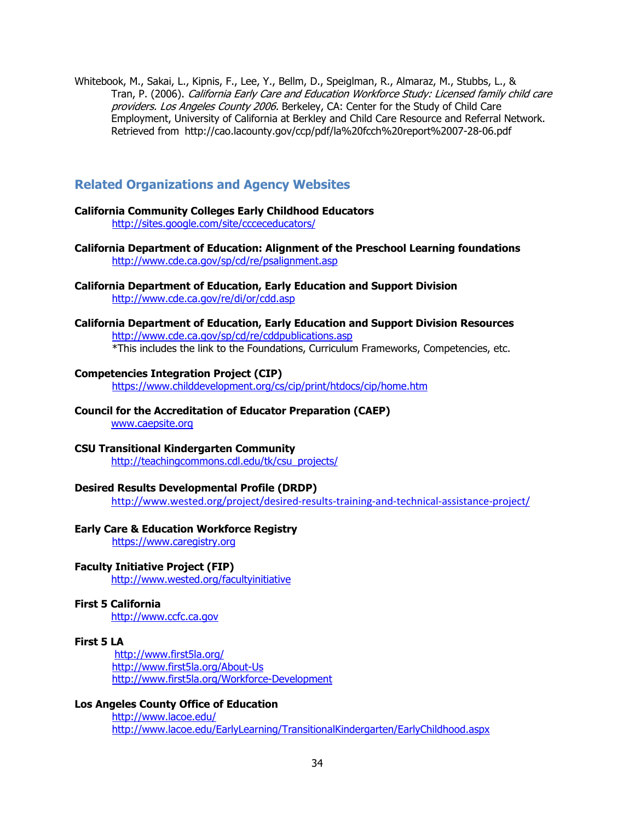Whitebook, M., Sakai, L., Kipnis, F., Lee, Y., Bellm, D., Speiglman, R., Almaraz, M., Stubbs, L., & Tran, P. (2006). California Early Care and Education Workforce Study: Licensed family child care providers. Los Angeles County 2006. Berkeley, CA: Center for the Study of Child Care Employment, University of California at Berkley and Child Care Resource and Referral Network. Retrieved from http://cao.lacounty.gov/ccp/pdf/la%20fcch%20report%2007-28-06.pdf

# **Related Organizations and Agency Websites**

#### **California Community Colleges Early Childhood Educators**  http://sites.google.com/site/ccceceducators/

- **California Department of Education: Alignment of the Preschool Learning foundations**  http://www.cde.ca.gov/sp/cd/re/psalignment.asp
- **California Department of Education, Early Education and Support Division**  http://www.cde.ca.gov/re/di/or/cdd.asp
- **California Department of Education, Early Education and Support Division Resources**  http://www.cde.ca.gov/sp/cd/re/cddpublications.asp

\*This includes the link to the Foundations, Curriculum Frameworks, Competencies, etc.

### **Competencies Integration Project (CIP)**

https://www.childdevelopment.org/cs/cip/print/htdocs/cip/home.htm

**Council for the Accreditation of Educator Preparation (CAEP)** 

www.caepsite.org

### **CSU Transitional Kindergarten Community**

http://teachingcommons.cdl.edu/tk/csu\_projects/

### **Desired Results Developmental Profile (DRDP)**

http://www.wested.org/project/desired-results-training-and-technical-assistance-project/

# **Early Care & Education Workforce Registry**

https://www.caregistry.org

### **Faculty Initiative Project (FIP)**

http://www.wested.org/facultyinitiative

# **First 5 California**

http://www.ccfc.ca.gov

### **First 5 LA**

http://www.first5la.org/ http://www.first5la.org/About-Us http://www.first5la.org/Workforce-Development

# **Los Angeles County Office of Education**

http://www.lacoe.edu/ http://www.lacoe.edu/EarlyLearning/TransitionalKindergarten/EarlyChildhood.aspx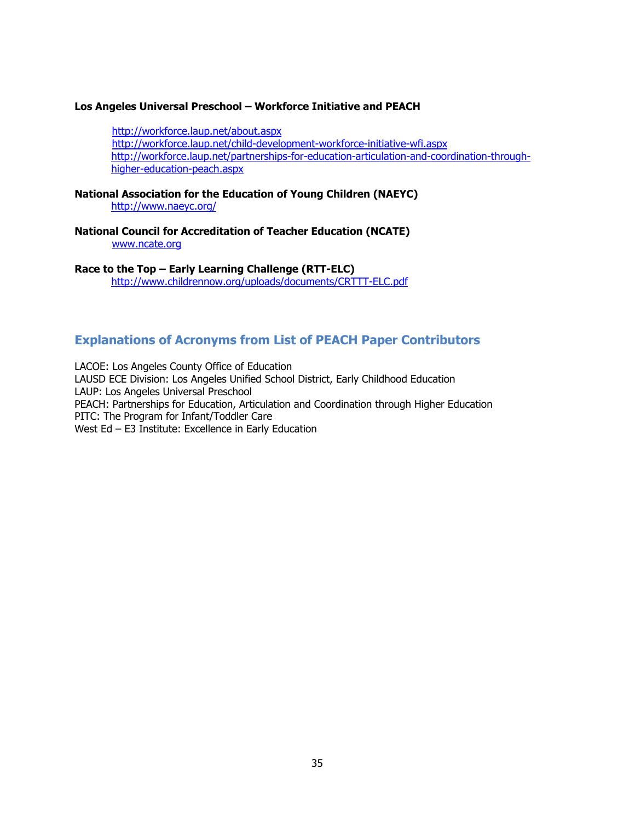### **Los Angeles Universal Preschool – Workforce Initiative and PEACH**

http://workforce.laup.net/about.aspx http://workforce.laup.net/child-development-workforce-initiative-wfi.aspx http://workforce.laup.net/partnerships-for-education-articulation-and-coordination-throughhigher-education-peach.aspx

**National Association for the Education of Young Children (NAEYC)**  http://www.naeyc.org/

**National Council for Accreditation of Teacher Education (NCATE)**  www.ncate.org

**Race to the Top – Early Learning Challenge (RTT-ELC)**  http://www.childrennow.org/uploads/documents/CRTTT-ELC.pdf

# **Explanations of Acronyms from List of PEACH Paper Contributors**

LACOE: Los Angeles County Office of Education LAUSD ECE Division: Los Angeles Unified School District, Early Childhood Education LAUP: Los Angeles Universal Preschool PEACH: Partnerships for Education, Articulation and Coordination through Higher Education PITC: The Program for Infant/Toddler Care West Ed – E3 Institute: Excellence in Early Education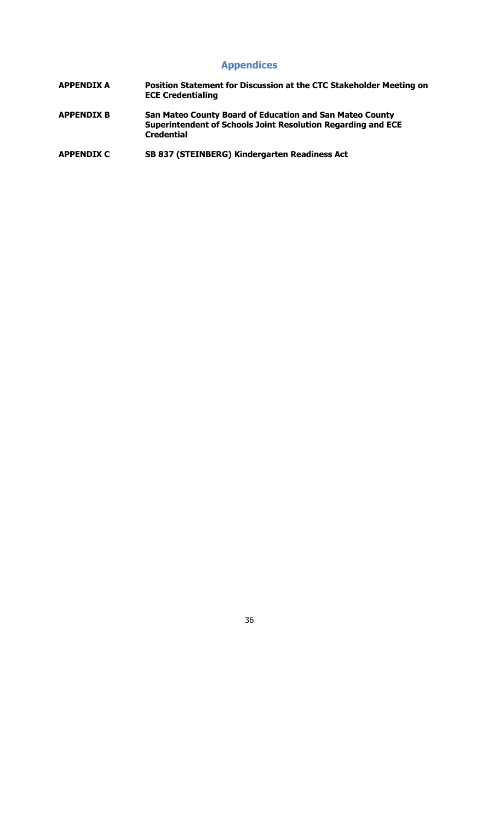# **Appendices**

- **APPENDIX A Position Statement for Discussion at the CTC Stakeholder Meeting on ECE Credentialing**
- **APPENDIX B San Mateo County Board of Education and San Mateo County Superintendent of Schools Joint Resolution Regarding and ECE Credential**
- **APPENDIX C SB 837 (STEINBERG) Kindergarten Readiness Act**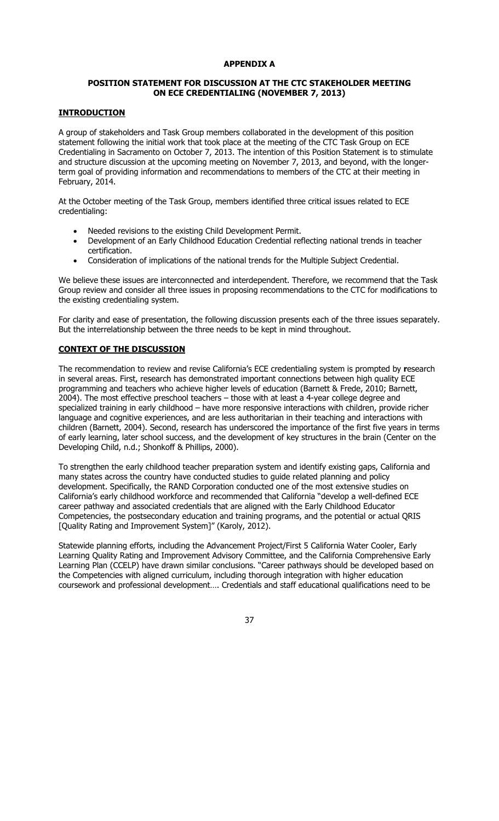# **APPENDIX A**

# **POSITION STATEMENT FOR DISCUSSION AT THE CTC STAKEHOLDER MEETING ON ECE CREDENTIALING (NOVEMBER 7, 2013)**

# **INTRODUCTION**

A group of stakeholders and Task Group members collaborated in the development of this position statement following the initial work that took place at the meeting of the CTC Task Group on ECE Credentialing in Sacramento on October 7, 2013. The intention of this Position Statement is to stimulate and structure discussion at the upcoming meeting on November 7, 2013, and beyond, with the longerterm goal of providing information and recommendations to members of the CTC at their meeting in February, 2014.

At the October meeting of the Task Group, members identified three critical issues related to ECE credentialing:

- Needed revisions to the existing Child Development Permit.
- Development of an Early Childhood Education Credential reflecting national trends in teacher certification.
- Consideration of implications of the national trends for the Multiple Subject Credential.

We believe these issues are interconnected and interdependent. Therefore, we recommend that the Task Group review and consider all three issues in proposing recommendations to the CTC for modifications to the existing credentialing system.

For clarity and ease of presentation, the following discussion presents each of the three issues separately. But the interrelationship between the three needs to be kept in mind throughout.

# **CONTEXT OF THE DISCUSSION**

The recommendation to review and revise California's ECE credentialing system is prompted by **r**esearch in several areas. First, research has demonstrated important connections between high quality ECE programming and teachers who achieve higher levels of education (Barnett & Frede, 2010; Barnett, 2004). The most effective preschool teachers – those with at least a 4-year college degree and specialized training in early childhood – have more responsive interactions with children, provide richer language and cognitive experiences, and are less authoritarian in their teaching and interactions with children (Barnett, 2004). Second, research has underscored the importance of the first five years in terms of early learning, later school success, and the development of key structures in the brain (Center on the Developing Child, n.d.; Shonkoff & Phillips, 2000).

To strengthen the early childhood teacher preparation system and identify existing gaps, California and many states across the country have conducted studies to guide related planning and policy development. Specifically, the RAND Corporation conducted one of the most extensive studies on California's early childhood workforce and recommended that California "develop a well-defined ECE career pathway and associated credentials that are aligned with the Early Childhood Educator Competencies, the postsecondary education and training programs, and the potential or actual QRIS [Quality Rating and Improvement System]" (Karoly, 2012).

Statewide planning efforts, including the Advancement Project/First 5 California Water Cooler, Early Learning Quality Rating and Improvement Advisory Committee, and the California Comprehensive Early Learning Plan (CCELP) have drawn similar conclusions. "Career pathways should be developed based on the Competencies with aligned curriculum, including thorough integration with higher education coursework and professional development…. Credentials and staff educational qualifications need to be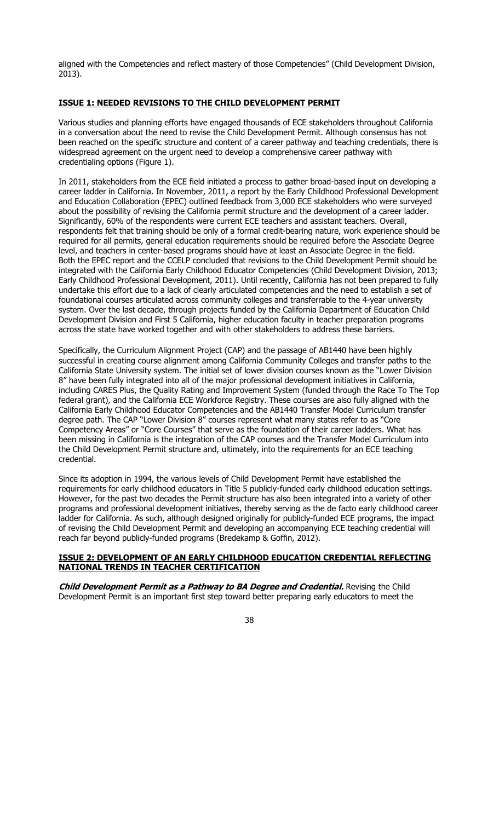aligned with the Competencies and reflect mastery of those Competencies" (Child Development Division, 2013).

# **ISSUE 1: NEEDED REVISIONS TO THE CHILD DEVELOPMENT PERMIT**

Various studies and planning efforts have engaged thousands of ECE stakeholders throughout California in a conversation about the need to revise the Child Development Permit. Although consensus has not been reached on the specific structure and content of a career pathway and teaching credentials, there is widespread agreement on the urgent need to develop a comprehensive career pathway with credentialing options (Figure 1).

In 2011, stakeholders from the ECE field initiated a process to gather broad-based input on developing a career ladder in California. In November, 2011, a report by the Early Childhood Professional Development and Education Collaboration (EPEC) outlined feedback from 3,000 ECE stakeholders who were surveyed about the possibility of revising the California permit structure and the development of a career ladder. Significantly, 60% of the respondents were current ECE teachers and assistant teachers. Overall, respondents felt that training should be only of a formal credit-bearing nature, work experience should be required for all permits, general education requirements should be required before the Associate Degree level, and teachers in center-based programs should have at least an Associate Degree in the field. Both the EPEC report and the CCELP concluded that revisions to the Child Development Permit should be integrated with the California Early Childhood Educator Competencies (Child Development Division, 2013; Early Childhood Professional Development, 2011). Until recently, California has not been prepared to fully undertake this effort due to a lack of clearly articulated competencies and the need to establish a set of foundational courses articulated across community colleges and transferrable to the 4-year university system. Over the last decade, through projects funded by the California Department of Education Child Development Division and First 5 California, higher education faculty in teacher preparation programs across the state have worked together and with other stakeholders to address these barriers.

Specifically, the Curriculum Alignment Project (CAP) and the passage of AB1440 have been highly successful in creating course alignment among California Community Colleges and transfer paths to the California State University system. The initial set of lower division courses known as the "Lower Division 8" have been fully integrated into all of the major professional development initiatives in California, including CARES Plus, the Quality Rating and Improvement System (funded through the Race To The Top federal grant), and the California ECE Workforce Registry. These courses are also fully aligned with the California Early Childhood Educator Competencies and the AB1440 Transfer Model Curriculum transfer degree path. The CAP "Lower Division 8" courses represent what many states refer to as "Core Competency Areas" or "Core Courses" that serve as the foundation of their career ladders. What has been missing in California is the integration of the CAP courses and the Transfer Model Curriculum into the Child Development Permit structure and, ultimately, into the requirements for an ECE teaching credential.

Since its adoption in 1994, the various levels of Child Development Permit have established the requirements for early childhood educators in Title 5 publicly-funded early childhood education settings. However, for the past two decades the Permit structure has also been integrated into a variety of other programs and professional development initiatives, thereby serving as the de facto early childhood career ladder for California. As such, although designed originally for publicly-funded ECE programs, the impact of revising the Child Development Permit and developing an accompanying ECE teaching credential will reach far beyond publicly-funded programs (Bredekamp & Goffin, 2012).

# **ISSUE 2: DEVELOPMENT OF AN EARLY CHILDHOOD EDUCATION CREDENTIAL REFLECTING NATIONAL TRENDS IN TEACHER CERTIFICATION**

**Child Development Permit as a Pathway to BA Degree and Credential.** Revising the Child Development Permit is an important first step toward better preparing early educators to meet the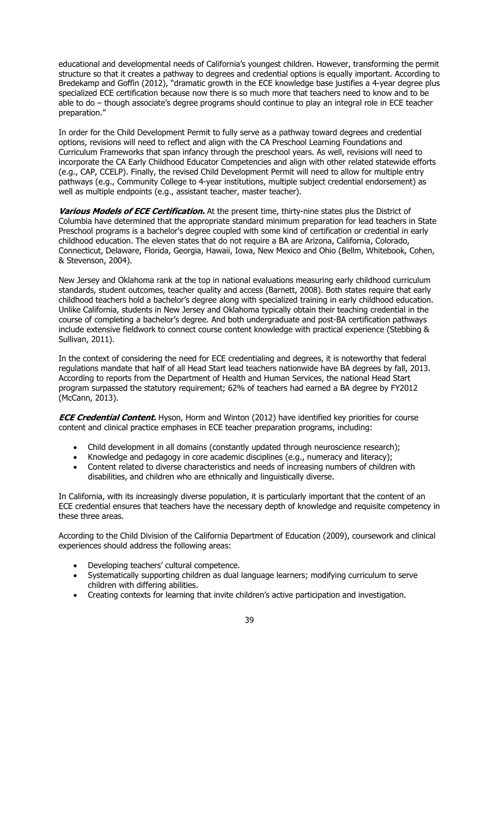educational and developmental needs of California's youngest children. However, transforming the permit structure so that it creates a pathway to degrees and credential options is equally important. According to Bredekamp and Goffin (2012), "dramatic growth in the ECE knowledge base justifies a 4-year degree plus specialized ECE certification because now there is so much more that teachers need to know and to be able to do – though associate's degree programs should continue to play an integral role in ECE teacher preparation."

In order for the Child Development Permit to fully serve as a pathway toward degrees and credential options, revisions will need to reflect and align with the CA Preschool Learning Foundations and Curriculum Frameworks that span infancy through the preschool years. As well, revisions will need to incorporate the CA Early Childhood Educator Competencies and align with other related statewide efforts (e.g., CAP, CCELP). Finally, the revised Child Development Permit will need to allow for multiple entry pathways (e.g., Community College to 4-year institutions, multiple subject credential endorsement) as well as multiple endpoints (e.g., assistant teacher, master teacher).

**Various Models of ECE Certification.** At the present time, thirty-nine states plus the District of Columbia have determined that the appropriate standard minimum preparation for lead teachers in State Preschool programs is a bachelor's degree coupled with some kind of certification or credential in early childhood education. The eleven states that do not require a BA are Arizona, California, Colorado, Connecticut, Delaware, Florida, Georgia, Hawaii, Iowa, New Mexico and Ohio (Bellm, Whitebook, Cohen, & Stevenson, 2004).

New Jersey and Oklahoma rank at the top in national evaluations measuring early childhood curriculum standards, student outcomes, teacher quality and access (Barnett, 2008). Both states require that early childhood teachers hold a bachelor's degree along with specialized training in early childhood education. Unlike California, students in New Jersey and Oklahoma typically obtain their teaching credential in the course of completing a bachelor's degree. And both undergraduate and post-BA certification pathways include extensive fieldwork to connect course content knowledge with practical experience (Stebbing & Sullivan, 2011).

In the context of considering the need for ECE credentialing and degrees, it is noteworthy that federal regulations mandate that half of all Head Start lead teachers nationwide have BA degrees by fall, 2013. According to reports from the Department of Health and Human Services, the national Head Start program surpassed the statutory requirement; 62% of teachers had earned a BA degree by FY2012 (McCann, 2013).

**ECE Credential Content.** Hyson, Horm and Winton (2012) have identified key priorities for course content and clinical practice emphases in ECE teacher preparation programs, including:

- Child development in all domains (constantly updated through neuroscience research);
- x Knowledge and pedagogy in core academic disciplines (e.g., numeracy and literacy);
- Content related to diverse characteristics and needs of increasing numbers of children with disabilities, and children who are ethnically and linguistically diverse.

In California, with its increasingly diverse population, it is particularly important that the content of an ECE credential ensures that teachers have the necessary depth of knowledge and requisite competency in these three areas.

According to the Child Division of the California Department of Education (2009), coursework and clinical experiences should address the following areas:

- Developing teachers' cultural competence.
- Systematically supporting children as dual language learners; modifying curriculum to serve children with differing abilities.
- Creating contexts for learning that invite children's active participation and investigation.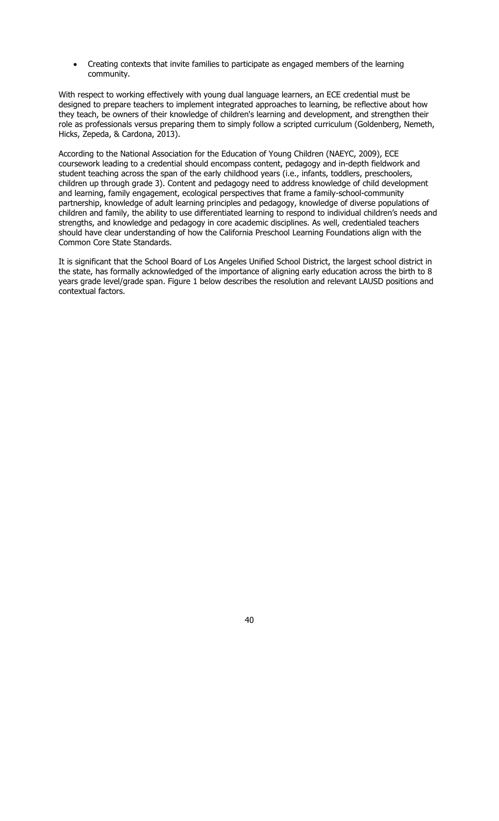x Creating contexts that invite families to participate as engaged members of the learning community.

With respect to working effectively with young dual language learners, an ECE credential must be designed to prepare teachers to implement integrated approaches to learning, be reflective about how they teach, be owners of their knowledge of children's learning and development, and strengthen their role as professionals versus preparing them to simply follow a scripted curriculum (Goldenberg, Nemeth, Hicks, Zepeda, & Cardona, 2013).

According to the National Association for the Education of Young Children (NAEYC, 2009), ECE coursework leading to a credential should encompass content, pedagogy and in-depth fieldwork and student teaching across the span of the early childhood years (i.e., infants, toddlers, preschoolers, children up through grade 3). Content and pedagogy need to address knowledge of child development and learning, family engagement, ecological perspectives that frame a family-school-community partnership, knowledge of adult learning principles and pedagogy, knowledge of diverse populations of children and family, the ability to use differentiated learning to respond to individual children's needs and strengths, and knowledge and pedagogy in core academic disciplines. As well, credentialed teachers should have clear understanding of how the California Preschool Learning Foundations align with the Common Core State Standards.

It is significant that the School Board of Los Angeles Unified School District, the largest school district in the state, has formally acknowledged of the importance of aligning early education across the birth to 8 years grade level/grade span. Figure 1 below describes the resolution and relevant LAUSD positions and contextual factors.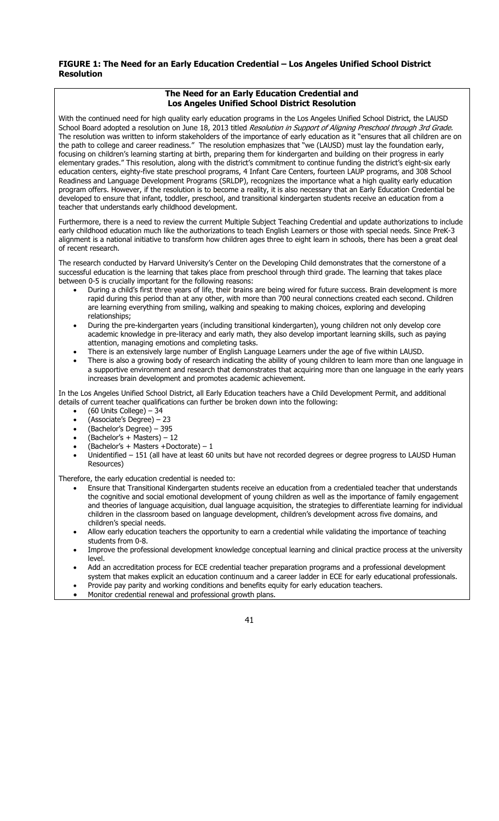# **FIGURE 1: The Need for an Early Education Credential – Los Angeles Unified School District Resolution**

| The Need for an Early Education Credential and<br><b>Los Angeles Unified School District Resolution</b>                                                                                                                                                                                                                                                                                                                                                                                                                                                                                                                                                                                                                                                                                                                                                                                                                                                                                                                                                                                                                                                                                                                                                                                                                                                                                                                                                       |  |  |  |  |
|---------------------------------------------------------------------------------------------------------------------------------------------------------------------------------------------------------------------------------------------------------------------------------------------------------------------------------------------------------------------------------------------------------------------------------------------------------------------------------------------------------------------------------------------------------------------------------------------------------------------------------------------------------------------------------------------------------------------------------------------------------------------------------------------------------------------------------------------------------------------------------------------------------------------------------------------------------------------------------------------------------------------------------------------------------------------------------------------------------------------------------------------------------------------------------------------------------------------------------------------------------------------------------------------------------------------------------------------------------------------------------------------------------------------------------------------------------------|--|--|--|--|
| With the continued need for high quality early education programs in the Los Angeles Unified School District, the LAUSD<br>School Board adopted a resolution on June 18, 2013 titled Resolution in Support of Aligning Preschool through 3rd Grade.<br>The resolution was written to inform stakeholders of the importance of early education as it "ensures that all children are on<br>the path to college and career readiness." The resolution emphasizes that "we (LAUSD) must lay the foundation early,<br>focusing on children's learning starting at birth, preparing them for kindergarten and building on their progress in early<br>elementary grades." This resolution, along with the district's commitment to continue funding the district's eight-six early<br>education centers, eighty-five state preschool programs, 4 Infant Care Centers, fourteen LAUP programs, and 308 School<br>Readiness and Language Development Programs (SRLDP), recognizes the importance what a high quality early education<br>program offers. However, if the resolution is to become a reality, it is also necessary that an Early Education Credential be<br>developed to ensure that infant, toddler, preschool, and transitional kindergarten students receive an education from a<br>teacher that understands early childhood development.                                                                                                              |  |  |  |  |
| Furthermore, there is a need to review the current Multiple Subject Teaching Credential and update authorizations to include<br>early childhood education much like the authorizations to teach English Learners or those with special needs. Since PreK-3<br>alignment is a national initiative to transform how children ages three to eight learn in schools, there has been a great deal<br>of recent research.                                                                                                                                                                                                                                                                                                                                                                                                                                                                                                                                                                                                                                                                                                                                                                                                                                                                                                                                                                                                                                           |  |  |  |  |
| The research conducted by Harvard University's Center on the Developing Child demonstrates that the cornerstone of a<br>successful education is the learning that takes place from preschool through third grade. The learning that takes place<br>between 0-5 is crucially important for the following reasons:<br>During a child's first three years of life, their brains are being wired for future success. Brain development is more<br>$\bullet$<br>rapid during this period than at any other, with more than 700 neural connections created each second. Children<br>are learning everything from smiling, walking and speaking to making choices, exploring and developing<br>relationships;<br>During the pre-kindergarten years (including transitional kindergarten), young children not only develop core<br>$\bullet$<br>academic knowledge in pre-literacy and early math, they also develop important learning skills, such as paying<br>attention, managing emotions and completing tasks.<br>There is an extensively large number of English Language Learners under the age of five within LAUSD.<br>$\bullet$<br>There is also a growing body of research indicating the ability of young children to learn more than one language in<br>$\bullet$<br>a supportive environment and research that demonstrates that acquiring more than one language in the early years<br>increases brain development and promotes academic achievement. |  |  |  |  |
| In the Los Angeles Unified School District, all Early Education teachers have a Child Development Permit, and additional<br>details of current teacher qualifications can further be broken down into the following:<br>$(60$ Units College) - 34<br>$\bullet$<br>(Associate's Degree) - 23<br>٠<br>(Bachelor's Degree) - 395<br>٠<br>$(Bachelor's + Masters) - 12$<br>(Bachelor's + Masters +Doctorate) - 1<br>$\bullet$<br>Unidentified - 151 (all have at least 60 units but have not recorded degrees or degree progress to LAUSD Human<br>$\bullet$<br>Resources)                                                                                                                                                                                                                                                                                                                                                                                                                                                                                                                                                                                                                                                                                                                                                                                                                                                                                        |  |  |  |  |
| Therefore, the early education credential is needed to:<br>Ensure that Transitional Kindergarten students receive an education from a credentialed teacher that understands<br>the cognitive and social emotional development of young children as well as the importance of family engagement<br>and theories of language acquisition, dual language acquisition, the strategies to differentiate learning for individual<br>children in the classroom based on language development, children's development across five domains, and<br>children's special needs.<br>Allow early education teachers the opportunity to earn a credential while validating the importance of teaching<br>$\bullet$<br>students from 0-8.<br>Improve the professional development knowledge conceptual learning and clinical practice process at the university<br>٠<br>level.<br>Add an accreditation process for ECE credential teacher preparation programs and a professional development<br>$\bullet$<br>system that makes explicit an education continuum and a career ladder in ECE for early educational professionals.<br>Provide pay parity and working conditions and benefits equity for early education teachers.<br>٠<br>Monitor credential renewal and professional growth plans.<br>$\bullet$                                                                                                                                                                 |  |  |  |  |
| 41                                                                                                                                                                                                                                                                                                                                                                                                                                                                                                                                                                                                                                                                                                                                                                                                                                                                                                                                                                                                                                                                                                                                                                                                                                                                                                                                                                                                                                                            |  |  |  |  |
|                                                                                                                                                                                                                                                                                                                                                                                                                                                                                                                                                                                                                                                                                                                                                                                                                                                                                                                                                                                                                                                                                                                                                                                                                                                                                                                                                                                                                                                               |  |  |  |  |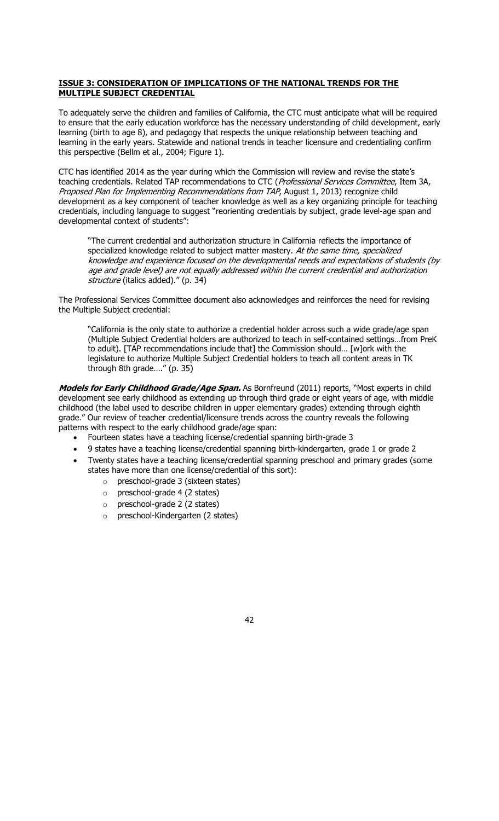# **ISSUE 3: CONSIDERATION OF IMPLICATIONS OF THE NATIONAL TRENDS FOR THE MULTIPLE SUBJECT CREDENTIAL**

To adequately serve the children and families of California, the CTC must anticipate what will be required to ensure that the early education workforce has the necessary understanding of child development, early learning (birth to age 8), and pedagogy that respects the unique relationship between teaching and learning in the early years. Statewide and national trends in teacher licensure and credentialing confirm this perspective (Bellm et al., 2004; Figure 1).

CTC has identified 2014 as the year during which the Commission will review and revise the state's teaching credentials. Related TAP recommendations to CTC (Professional Services Committee, Item 3A, Proposed Plan for Implementing Recommendations from TAP, August 1, 2013) recognize child development as a key component of teacher knowledge as well as a key organizing principle for teaching credentials, including language to suggest "reorienting credentials by subject, grade level-age span and developmental context of students":

"The current credential and authorization structure in California reflects the importance of specialized knowledge related to subject matter mastery. At the same time, specialized knowledge and experience focused on the developmental needs and expectations of students (by age and grade level) are not equally addressed within the current credential and authorization structure (italics added)." (p. 34)

The Professional Services Committee document also acknowledges and reinforces the need for revising the Multiple Subject credential:

"California is the only state to authorize a credential holder across such a wide grade/age span (Multiple Subject Credential holders are authorized to teach in self-contained settings…from PreK to adult). [TAP recommendations include that] the Commission should… [w]ork with the legislature to authorize Multiple Subject Credential holders to teach all content areas in TK through 8th grade…." (p. 35)

**Models for Early Childhood Grade/Age Span.** As Bornfreund (2011) reports, "Most experts in child development see early childhood as extending up through third grade or eight years of age, with middle childhood (the label used to describe children in upper elementary grades) extending through eighth grade." Our review of teacher credential/licensure trends across the country reveals the following patterns with respect to the early childhood grade/age span:

- x Fourteen states have a teaching license/credential spanning birth-grade 3
- 9 states have a teaching license/credential spanning birth-kindergarten, grade 1 or grade 2
- Twenty states have a teaching license/credential spanning preschool and primary grades (some states have more than one license/credential of this sort):
	- o preschool-grade 3 (sixteen states)
	- o preschool-grade 4 (2 states)
	- o preschool-grade 2 (2 states)
	- o preschool-Kindergarten (2 states)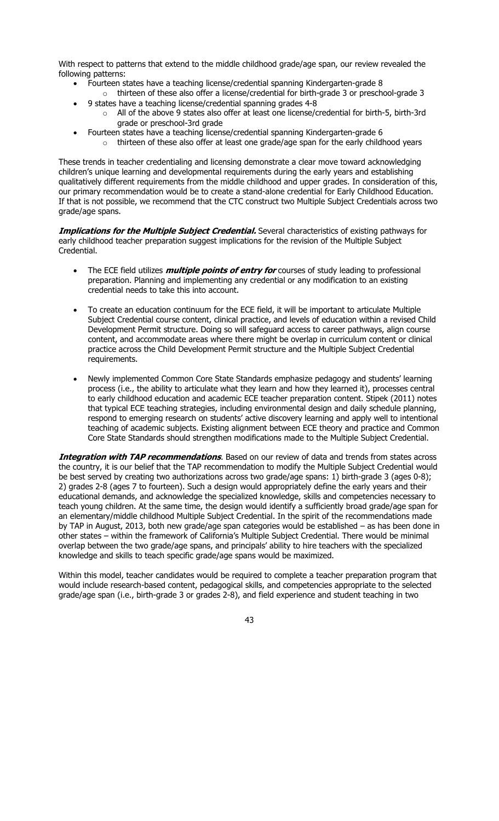With respect to patterns that extend to the middle childhood grade/age span, our review revealed the following patterns:

- Fourteen states have a teaching license/credential spanning Kindergarten-grade 8
- o thirteen of these also offer a license/credential for birth-grade 3 or preschool-grade 3 x 9 states have a teaching license/credential spanning grades 4-8
- $\circ$  All of the above 9 states also offer at least one license/credential for birth-5, birth-3rd grade or preschool-3rd grade
- Fourteen states have a teaching license/credential spanning Kindergarten-grade 6
	- $\circ$  thirteen of these also offer at least one grade/age span for the early childhood years

These trends in teacher credentialing and licensing demonstrate a clear move toward acknowledging children's unique learning and developmental requirements during the early years and establishing qualitatively different requirements from the middle childhood and upper grades. In consideration of this, our primary recommendation would be to create a stand-alone credential for Early Childhood Education. If that is not possible, we recommend that the CTC construct two Multiple Subject Credentials across two grade/age spans.

**Implications for the Multiple Subject Credential.** Several characteristics of existing pathways for early childhood teacher preparation suggest implications for the revision of the Multiple Subject Credential.

- The ECE field utilizes *multiple points of entry for* courses of study leading to professional preparation. Planning and implementing any credential or any modification to an existing credential needs to take this into account.
- To create an education continuum for the ECE field, it will be important to articulate Multiple Subject Credential course content, clinical practice, and levels of education within a revised Child Development Permit structure. Doing so will safeguard access to career pathways, align course content, and accommodate areas where there might be overlap in curriculum content or clinical practice across the Child Development Permit structure and the Multiple Subject Credential requirements.
- Newly implemented Common Core State Standards emphasize pedagogy and students' learning process (i.e., the ability to articulate what they learn and how they learned it), processes central to early childhood education and academic ECE teacher preparation content. Stipek (2011) notes that typical ECE teaching strategies, including environmental design and daily schedule planning, respond to emerging research on students' active discovery learning and apply well to intentional teaching of academic subjects. Existing alignment between ECE theory and practice and Common Core State Standards should strengthen modifications made to the Multiple Subject Credential.

**Integration with TAP recommendations**. Based on our review of data and trends from states across the country, it is our belief that the TAP recommendation to modify the Multiple Subject Credential would be best served by creating two authorizations across two grade/age spans: 1) birth-grade 3 (ages 0-8); 2) grades 2-8 (ages 7 to fourteen). Such a design would appropriately define the early years and their educational demands, and acknowledge the specialized knowledge, skills and competencies necessary to teach young children. At the same time, the design would identify a sufficiently broad grade/age span for an elementary/middle childhood Multiple Subject Credential. In the spirit of the recommendations made by TAP in August, 2013, both new grade/age span categories would be established – as has been done in other states – within the framework of California's Multiple Subject Credential. There would be minimal overlap between the two grade/age spans, and principals' ability to hire teachers with the specialized knowledge and skills to teach specific grade/age spans would be maximized.

Within this model, teacher candidates would be required to complete a teacher preparation program that would include research-based content, pedagogical skills, and competencies appropriate to the selected grade/age span (i.e., birth-grade 3 or grades 2-8), and field experience and student teaching in two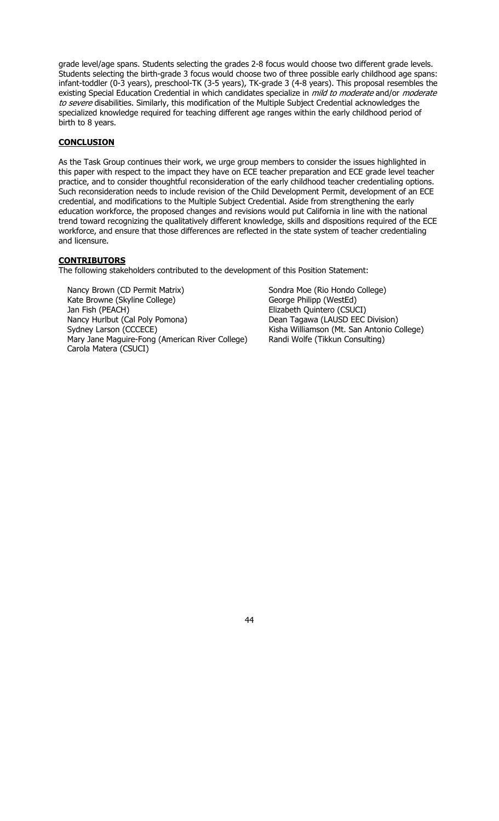grade level/age spans. Students selecting the grades 2-8 focus would choose two different grade levels. Students selecting the birth-grade 3 focus would choose two of three possible early childhood age spans: infant-toddler (0-3 years), preschool-TK (3-5 years), TK-grade 3 (4-8 years). This proposal resembles the existing Special Education Credential in which candidates specialize in *mild to moderate* and/or *moderate* to severe disabilities. Similarly, this modification of the Multiple Subject Credential acknowledges the specialized knowledge required for teaching different age ranges within the early childhood period of birth to 8 years.

# **CONCLUSION**

As the Task Group continues their work, we urge group members to consider the issues highlighted in this paper with respect to the impact they have on ECE teacher preparation and ECE grade level teacher practice, and to consider thoughtful reconsideration of the early childhood teacher credentialing options. Such reconsideration needs to include revision of the Child Development Permit, development of an ECE credential, and modifications to the Multiple Subject Credential. Aside from strengthening the early education workforce, the proposed changes and revisions would put California in line with the national trend toward recognizing the qualitatively different knowledge, skills and dispositions required of the ECE workforce, and ensure that those differences are reflected in the state system of teacher credentialing and licensure.

# **CONTRIBUTORS**

The following stakeholders contributed to the development of this Position Statement:

Nancy Brown (CD Permit Matrix) Sondra Moe (Rio Hondo College) Kate Browne (Skyline College) George Philipp (WestEd) Jan Fish (PEACH) Elizabeth Quintero (CSUCI) Nancy Hurlbut (Cal Poly Pomona) Dean Tagawa (LAUSD EEC Division) Sydney Larson (CCCECE) Kisha Williamson (Mt. San Antonio College) Mary Jane Maguire-Fong (American River College) Randi Wolfe (Tikkun Consulting) Carola Matera (CSUCI)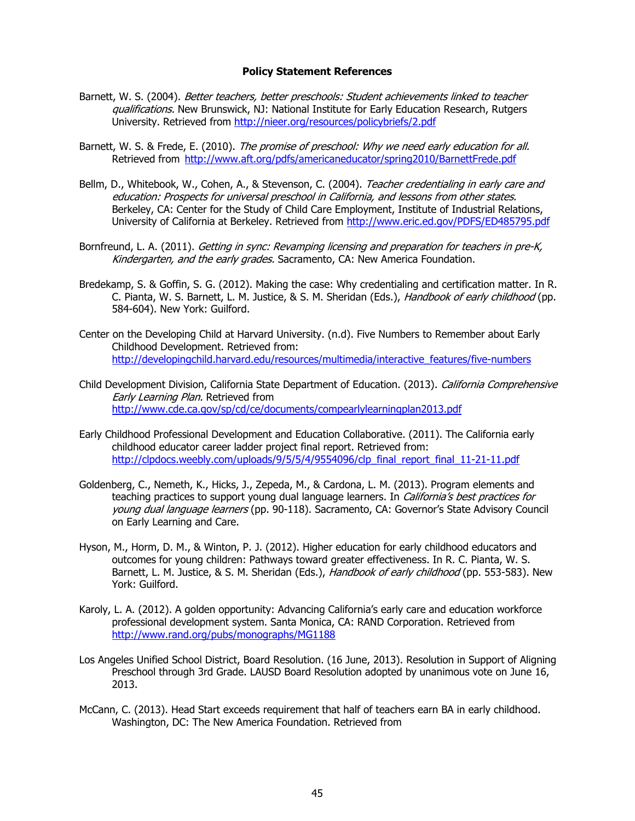#### **Policy Statement References**

- Barnett, W. S. (2004). Better teachers, better preschools: Student achievements linked to teacher qualifications. New Brunswick, NJ: National Institute for Early Education Research, Rutgers University. Retrieved from http://nieer.org/resources/policybriefs/2.pdf
- Barnett, W. S. & Frede, E. (2010). The promise of preschool: Why we need early education for all. Retrieved from http://www.aft.org/pdfs/americaneducator/spring2010/BarnettFrede.pdf
- Bellm, D., Whitebook, W., Cohen, A., & Stevenson, C. (2004). Teacher credentialing in early care and education: Prospects for universal preschool in California, and lessons from other states. Berkeley, CA: Center for the Study of Child Care Employment, Institute of Industrial Relations, University of California at Berkeley. Retrieved from http://www.eric.ed.gov/PDFS/ED485795.pdf
- Bornfreund, L. A. (2011). Getting in sync: Revamping licensing and preparation for teachers in pre-K, Kindergarten, and the early grades. Sacramento, CA: New America Foundation.
- Bredekamp, S. & Goffin, S. G. (2012). Making the case: Why credentialing and certification matter. In R. C. Pianta, W. S. Barnett, L. M. Justice, & S. M. Sheridan (Eds.), Handbook of early childhood (pp. 584-604). New York: Guilford.
- Center on the Developing Child at Harvard University. (n.d). Five Numbers to Remember about Early Childhood Development. Retrieved from: http://developingchild.harvard.edu/resources/multimedia/interactive\_features/five-numbers
- Child Development Division, California State Department of Education. (2013). California Comprehensive Early Learning Plan. Retrieved from http://www.cde.ca.gov/sp/cd/ce/documents/compearlylearningplan2013.pdf
- Early Childhood Professional Development and Education Collaborative. (2011). The California early childhood educator career ladder project final report. Retrieved from: http://clpdocs.weebly.com/uploads/9/5/5/4/9554096/clp\_final\_report\_final\_11-21-11.pdf
- Goldenberg, C., Nemeth, K., Hicks, J., Zepeda, M., & Cardona, L. M. (2013). Program elements and teaching practices to support young dual language learners. In California's best practices for young dual language learners (pp. 90-118). Sacramento, CA: Governor's State Advisory Council on Early Learning and Care.
- Hyson, M., Horm, D. M., & Winton, P. J. (2012). Higher education for early childhood educators and outcomes for young children: Pathways toward greater effectiveness. In R. C. Pianta, W. S. Barnett, L. M. Justice, & S. M. Sheridan (Eds.), Handbook of early childhood (pp. 553-583). New York: Guilford.
- Karoly, L. A. (2012). A golden opportunity: Advancing California's early care and education workforce professional development system. Santa Monica, CA: RAND Corporation. Retrieved from http://www.rand.org/pubs/monographs/MG1188
- Los Angeles Unified School District, Board Resolution. (16 June, 2013). Resolution in Support of Aligning Preschool through 3rd Grade. LAUSD Board Resolution adopted by unanimous vote on June 16, 2013.
- McCann, C. (2013). Head Start exceeds requirement that half of teachers earn BA in early childhood. Washington, DC: The New America Foundation. Retrieved from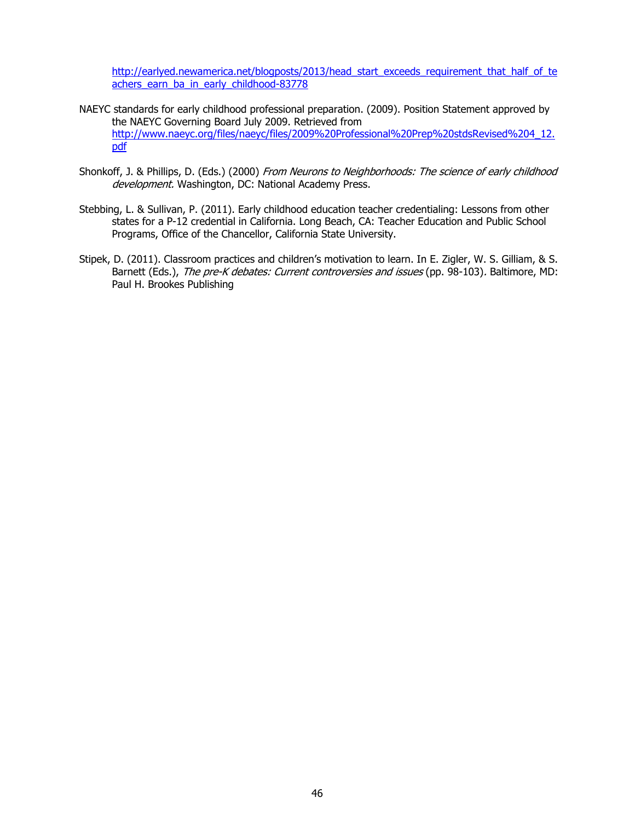http://earlyed.newamerica.net/blogposts/2013/head\_start\_exceeds\_requirement\_that\_half\_of\_te achers\_earn\_ba\_in\_early\_childhood-83778

- NAEYC standards for early childhood professional preparation. (2009). Position Statement approved by the NAEYC Governing Board July 2009. Retrieved from http://www.naeyc.org/files/naeyc/files/2009%20Professional%20Prep%20stdsRevised%204\_12. pdf
- Shonkoff, J. & Phillips, D. (Eds.) (2000) From Neurons to Neighborhoods: The science of early childhood development. Washington, DC: National Academy Press.
- Stebbing, L. & Sullivan, P. (2011). Early childhood education teacher credentialing: Lessons from other states for a P-12 credential in California. Long Beach, CA: Teacher Education and Public School Programs, Office of the Chancellor, California State University.
- Stipek, D. (2011). Classroom practices and children's motivation to learn. In E. Zigler, W. S. Gilliam, & S. Barnett (Eds.), The pre-K debates: Current controversies and issues (pp. 98-103). Baltimore, MD: Paul H. Brookes Publishing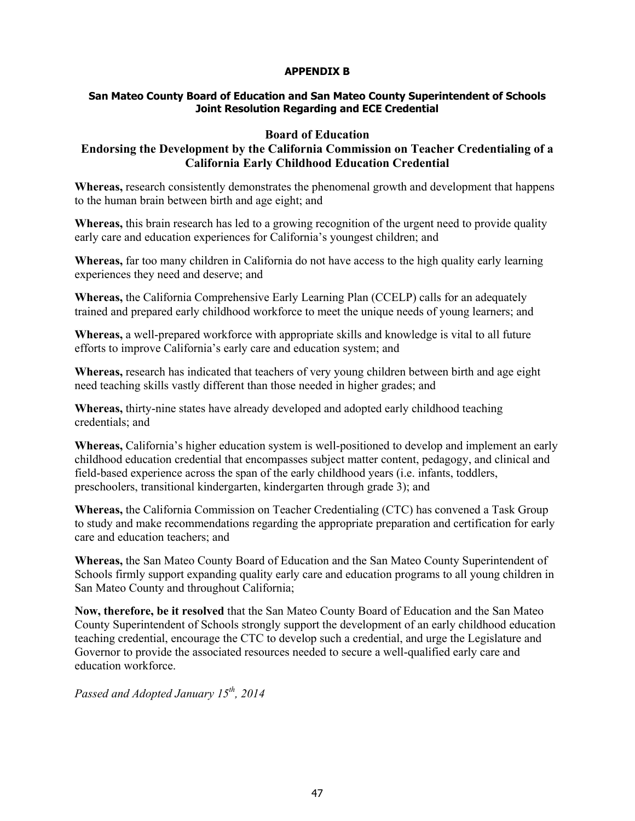# **APPENDIX B**

# **San Mateo County Board of Education and San Mateo County Superintendent of Schools Joint Resolution Regarding and ECE Credential**

# **Board of Education**

# **Endorsing the Development by the California Commission on Teacher Credentialing of a California Early Childhood Education Credential**

**Whereas,** research consistently demonstrates the phenomenal growth and development that happens to the human brain between birth and age eight; and

**Whereas,** this brain research has led to a growing recognition of the urgent need to provide quality early care and education experiences for California's youngest children; and

**Whereas,** far too many children in California do not have access to the high quality early learning experiences they need and deserve; and

**Whereas,** the California Comprehensive Early Learning Plan (CCELP) calls for an adequately trained and prepared early childhood workforce to meet the unique needs of young learners; and

**Whereas,** a well-prepared workforce with appropriate skills and knowledge is vital to all future efforts to improve California's early care and education system; and

**Whereas,** research has indicated that teachers of very young children between birth and age eight need teaching skills vastly different than those needed in higher grades; and

**Whereas,** thirty-nine states have already developed and adopted early childhood teaching credentials; and

**Whereas,** California's higher education system is well-positioned to develop and implement an early childhood education credential that encompasses subject matter content, pedagogy, and clinical and field-based experience across the span of the early childhood years (i.e. infants, toddlers, preschoolers, transitional kindergarten, kindergarten through grade 3); and

**Whereas,** the California Commission on Teacher Credentialing (CTC) has convened a Task Group to study and make recommendations regarding the appropriate preparation and certification for early care and education teachers; and

**Whereas,** the San Mateo County Board of Education and the San Mateo County Superintendent of Schools firmly support expanding quality early care and education programs to all young children in San Mateo County and throughout California;

**Now, therefore, be it resolved** that the San Mateo County Board of Education and the San Mateo County Superintendent of Schools strongly support the development of an early childhood education teaching credential, encourage the CTC to develop such a credential, and urge the Legislature and Governor to provide the associated resources needed to secure a well-qualified early care and education workforce.

*Passed and Adopted January 15th, 2014*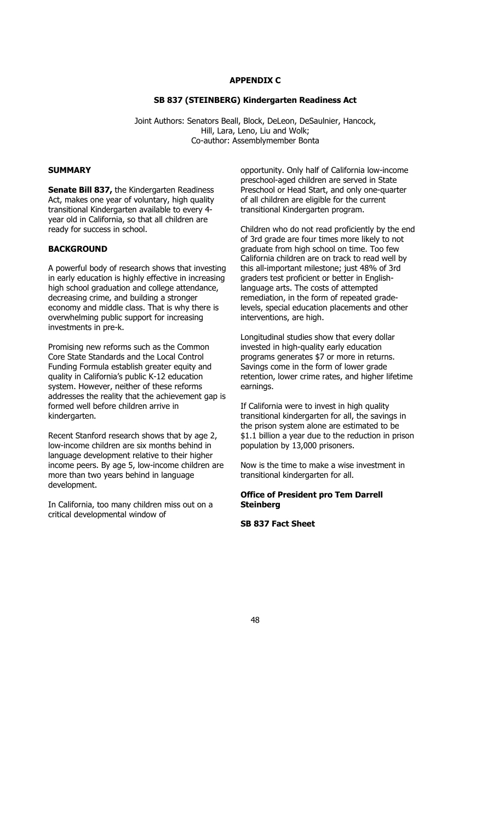# **APPENDIX C**

# **SB 837 (STEINBERG) Kindergarten Readiness Act**

Joint Authors: Senators Beall, Block, DeLeon, DeSaulnier, Hancock, Hill, Lara, Leno, Liu and Wolk; Co-author: Assemblymember Bonta

### **SUMMARY**

**Senate Bill 837,** the Kindergarten Readiness Act, makes one year of voluntary, high quality transitional Kindergarten available to every 4 year old in California, so that all children are ready for success in school.

# **BACKGROUND**

A powerful body of research shows that investing in early education is highly effective in increasing high school graduation and college attendance, decreasing crime, and building a stronger economy and middle class. That is why there is overwhelming public support for increasing investments in pre-k.

Promising new reforms such as the Common Core State Standards and the Local Control Funding Formula establish greater equity and quality in California's public K-12 education system. However, neither of these reforms addresses the reality that the achievement gap is formed well before children arrive in kindergarten.

Recent Stanford research shows that by age 2, low-income children are six months behind in language development relative to their higher income peers. By age 5, low-income children are more than two years behind in language development.

In California, too many children miss out on a critical developmental window of

opportunity. Only half of California low-income preschool-aged children are served in State Preschool or Head Start, and only one-quarter of all children are eligible for the current transitional Kindergarten program.

Children who do not read proficiently by the end of 3rd grade are four times more likely to not graduate from high school on time. Too few California children are on track to read well by this all-important milestone; just 48% of 3rd graders test proficient or better in Englishlanguage arts. The costs of attempted remediation, in the form of repeated gradelevels, special education placements and other interventions, are high.

Longitudinal studies show that every dollar invested in high-quality early education programs generates \$7 or more in returns. Savings come in the form of lower grade retention, lower crime rates, and higher lifetime earnings.

If California were to invest in high quality transitional kindergarten for all, the savings in the prison system alone are estimated to be \$1.1 billion a year due to the reduction in prison population by 13,000 prisoners.

Now is the time to make a wise investment in transitional kindergarten for all.

# **Office of President pro Tem Darrell Steinberg**

### **SB 837 Fact Sheet**